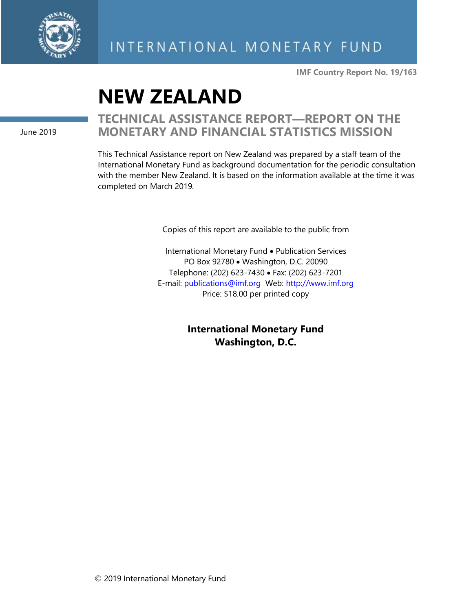

**IMF Country Report No. 19/163**

# **NEW ZEALAND**

June 2019

### **TECHNICAL ASSISTANCE REPORT—REPORT ON THE MONETARY AND FINANCIAL STATISTICS MISSION**

This Technical Assistance report on New Zealand was prepared by a staff team of the International Monetary Fund as background documentation for the periodic consultation with the member New Zealand. It is based on the information available at the time it was completed on March 2019.

Copies of this report are available to the public from

International Monetary Fund • Publication Services PO Box 92780 • Washington, D.C. 20090 Telephone: (202) 623-7430 • Fax: (202) 623-7201 E-mail: [publications@imf.org](mailto:publications@imf.org) Web: [http://www.imf.org](http://www.imf.org/) Price: \$18.00 per printed copy

> **International Monetary Fund Washington, D.C.**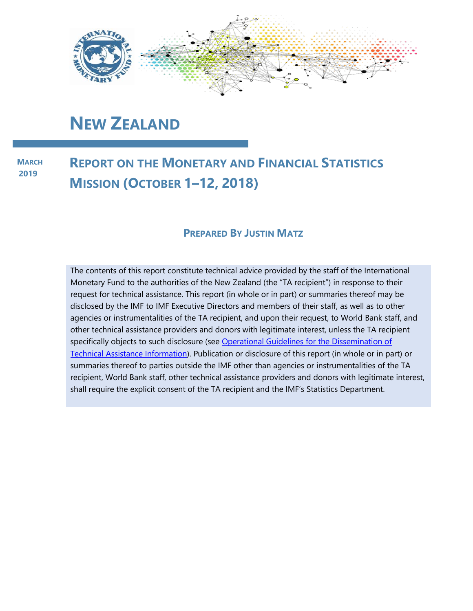

## **NEW ZEALAND**

**MARCH 2019**

### **REPORT ON THE MONETARY AND FINANCIAL STATISTICS MISSION (OCTOBER 1–12, 2018)**

#### **PREPARED BY JUSTIN MATZ**

The contents of this report constitute technical advice provided by the staff of the International Monetary Fund to the authorities of the New Zealand (the "TA recipient") in response to their request for technical assistance. This report (in whole or in part) or summaries thereof may be disclosed by the IMF to IMF Executive Directors and members of their staff, as well as to other agencies or instrumentalities of the TA recipient, and upon their request, to World Bank staff, and other technical assistance providers and donors with legitimate interest, unless the TA recipient specifically objects to such disclosure (see Operational Guidelines for the Dissemination of [Technical Assistance Information\)](http://www.imf.org/external/np/pp/eng/2013/061013.pdf). Publication or disclosure of this report (in whole or in part) or summaries thereof to parties outside the IMF other than agencies or instrumentalities of the TA recipient, World Bank staff, other technical assistance providers and donors with legitimate interest, shall require the explicit consent of the TA recipient and the IMF's Statistics Department.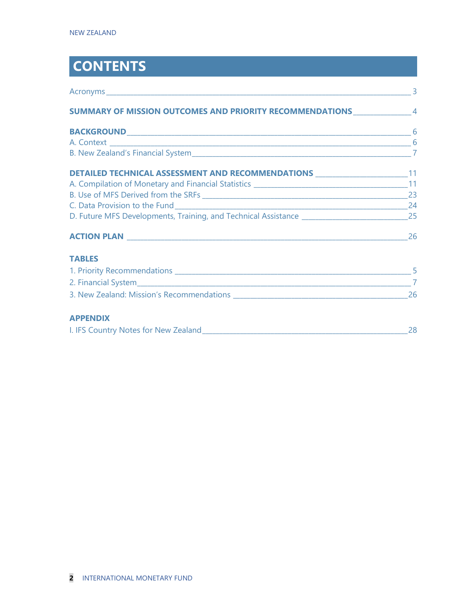## **CONTENTS**

| SUMMARY OF MISSION OUTCOMES AND PRIORITY RECOMMENDATIONS __________________ 4 |    |
|-------------------------------------------------------------------------------|----|
|                                                                               |    |
|                                                                               |    |
|                                                                               |    |
| DETAILED TECHNICAL ASSESSMENT AND RECOMMENDATIONS _________________________11 |    |
|                                                                               |    |
|                                                                               |    |
|                                                                               |    |
|                                                                               |    |
|                                                                               |    |
| <b>TABLES</b>                                                                 |    |
|                                                                               |    |
|                                                                               |    |
|                                                                               |    |
| <b>APPENDIX</b>                                                               |    |
|                                                                               | 28 |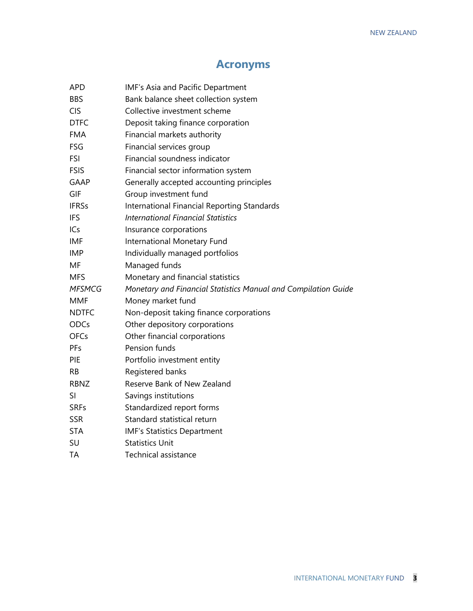### **Acronyms**

| APD           | IMF's Asia and Pacific Department                              |
|---------------|----------------------------------------------------------------|
| <b>BBS</b>    | Bank balance sheet collection system                           |
| <b>CIS</b>    | Collective investment scheme                                   |
| <b>DTFC</b>   | Deposit taking finance corporation                             |
| <b>FMA</b>    | Financial markets authority                                    |
| FSG           | Financial services group                                       |
| <b>FSI</b>    | Financial soundness indicator                                  |
| <b>FSIS</b>   | Financial sector information system                            |
| GAAP          | Generally accepted accounting principles                       |
| GIF           | Group investment fund                                          |
| <b>IFRSs</b>  | International Financial Reporting Standards                    |
| <b>IFS</b>    | <b>International Financial Statistics</b>                      |
| ICs           | Insurance corporations                                         |
| IMF           | International Monetary Fund                                    |
| <b>IMP</b>    | Individually managed portfolios                                |
| MF            | Managed funds                                                  |
| <b>MFS</b>    | Monetary and financial statistics                              |
| <b>MFSMCG</b> | Monetary and Financial Statistics Manual and Compilation Guide |
| <b>MMF</b>    | Money market fund                                              |
| <b>NDTFC</b>  | Non-deposit taking finance corporations                        |
| ODCs          | Other depository corporations                                  |
| <b>OFCs</b>   | Other financial corporations                                   |
| PFs           | Pension funds                                                  |
| PIE           | Portfolio investment entity                                    |
| RB            | Registered banks                                               |
| <b>RBNZ</b>   | Reserve Bank of New Zealand                                    |
| SI            | Savings institutions                                           |
| <b>SRFs</b>   | Standardized report forms                                      |
| <b>SSR</b>    | Standard statistical return                                    |
| <b>STA</b>    | <b>IMF's Statistics Department</b>                             |
| SU            | <b>Statistics Unit</b>                                         |
| ТA            | <b>Technical assistance</b>                                    |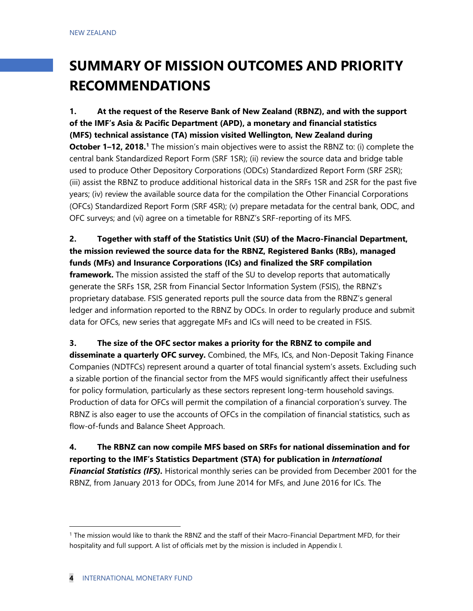## **SUMMARY OF MISSION OUTCOMES AND PRIORITY RECOMMENDATIONS**

**1. At the request of the Reserve Bank of New Zealand (RBNZ), and with the support of the IMF's Asia & Pacific Department (APD), a monetary and financial statistics (MFS) technical assistance (TA) mission visited Wellington, New Zealand during October [1](#page-4-0)–12, 2018.** I The mission's main objectives were to assist the RBNZ to: (i) complete the central bank Standardized Report Form (SRF 1SR); (ii) review the source data and bridge table used to produce Other Depository Corporations (ODCs) Standardized Report Form (SRF 2SR); (iii) assist the RBNZ to produce additional historical data in the SRFs 1SR and 2SR for the past five years; (iv) review the available source data for the compilation the Other Financial Corporations (OFCs) Standardized Report Form (SRF 4SR); (v) prepare metadata for the central bank, ODC, and OFC surveys; and (vi) agree on a timetable for RBNZ's SRF-reporting of its MFS.

**2. Together with staff of the Statistics Unit (SU) of the Macro-Financial Department, the mission reviewed the source data for the RBNZ, Registered Banks (RBs), managed funds (MFs) and Insurance Corporations (ICs) and finalized the SRF compilation framework.** The mission assisted the staff of the SU to develop reports that automatically generate the SRFs 1SR, 2SR from Financial Sector Information System (FSIS), the RBNZ's proprietary database. FSIS generated reports pull the source data from the RBNZ's general ledger and information reported to the RBNZ by ODCs. In order to regularly produce and submit data for OFCs, new series that aggregate MFs and ICs will need to be created in FSIS.

#### **3. The size of the OFC sector makes a priority for the RBNZ to compile and**

**disseminate a quarterly OFC survey.** Combined, the MFs, ICs, and Non-Deposit Taking Finance Companies (NDTFCs) represent around a quarter of total financial system's assets. Excluding such a sizable portion of the financial sector from the MFS would significantly affect their usefulness for policy formulation, particularly as these sectors represent long-term household savings. Production of data for OFCs will permit the compilation of a financial corporation's survey. The RBNZ is also eager to use the accounts of OFCs in the compilation of financial statistics, such as flow-of-funds and Balance Sheet Approach.

**4. The RBNZ can now compile MFS based on SRFs for national dissemination and for reporting to the IMF's Statistics Department (STA) for publication in** *International Financial Statistics (IFS).* Historical monthly series can be provided from December 2001 for the RBNZ, from January 2013 for ODCs, from June 2014 for MFs, and June 2016 for ICs. The

<span id="page-4-0"></span><sup>1</sup> The mission would like to thank the RBNZ and the staff of their Macro-Financial Department MFD, for their hospitality and full support. A list of officials met by the mission is included in Appendix I.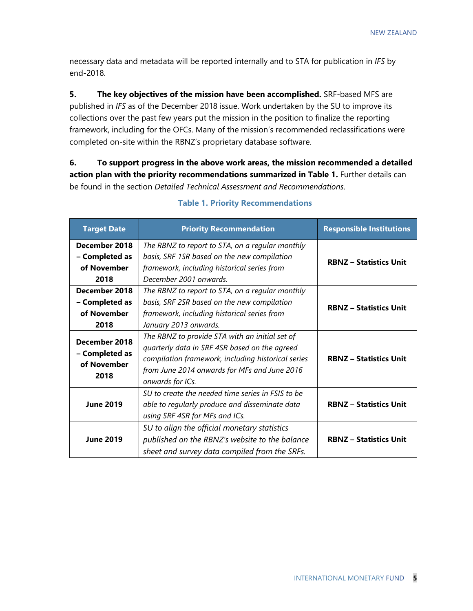necessary data and metadata will be reported internally and to STA for publication in *IFS* by end-2018.

**5. The key objectives of the mission have been accomplished.** SRF-based MFS are published in *IFS* as of the December 2018 issue. Work undertaken by the SU to improve its collections over the past few years put the mission in the position to finalize the reporting framework, including for the OFCs. Many of the mission's recommended reclassifications were completed on-site within the RBNZ's proprietary database software.

**6. To support progress in the above work areas, the mission recommended a detailed action plan with the priority recommendations summarized in Table 1.** Further details can be found in the section *Detailed Technical Assessment and Recommendations*.

| <b>Target Date</b> | <b>Priority Recommendation</b>                     | <b>Responsible Institutions</b> |  |
|--------------------|----------------------------------------------------|---------------------------------|--|
| December 2018      | The RBNZ to report to STA, on a regular monthly    | <b>RBNZ - Statistics Unit</b>   |  |
| - Completed as     | basis, SRF 1SR based on the new compilation        |                                 |  |
| of November        | framework, including historical series from        |                                 |  |
| 2018               | December 2001 onwards.                             |                                 |  |
| December 2018      | The RBNZ to report to STA, on a regular monthly    |                                 |  |
| - Completed as     | basis, SRF 2SR based on the new compilation        |                                 |  |
| of November        | framework, including historical series from        | <b>RBNZ - Statistics Unit</b>   |  |
| 2018               | January 2013 onwards.                              |                                 |  |
| December 2018      | The RBNZ to provide STA with an initial set of     |                                 |  |
|                    | quarterly data in SRF 4SR based on the agreed      |                                 |  |
| - Completed as     | compilation framework, including historical series | <b>RBNZ - Statistics Unit</b>   |  |
| of November        | from June 2014 onwards for MFs and June 2016       |                                 |  |
| 2018               | onwards for ICs.                                   |                                 |  |
|                    | SU to create the needed time series in FSIS to be  |                                 |  |
| <b>June 2019</b>   | able to regularly produce and disseminate data     | <b>RBNZ - Statistics Unit</b>   |  |
|                    | using SRF 4SR for MFs and ICs.                     |                                 |  |
|                    | SU to align the official monetary statistics       |                                 |  |
| <b>June 2019</b>   | published on the RBNZ's website to the balance     | <b>RBNZ - Statistics Unit</b>   |  |
|                    | sheet and survey data compiled from the SRFs.      |                                 |  |

#### **Table 1. Priority Recommendations**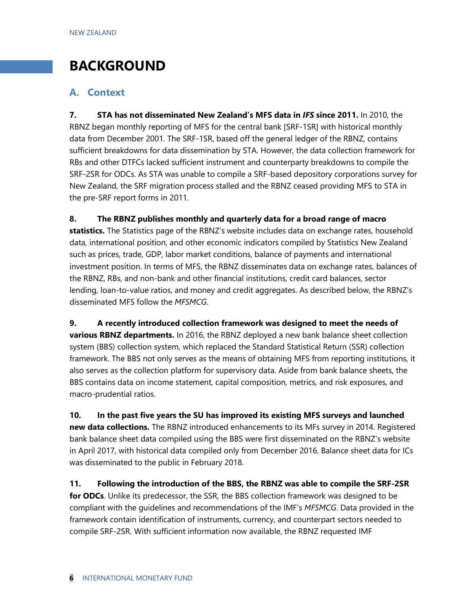### **BACKGROUND**

#### **A. Context**

**7. STA has not disseminated New Zealand's MFS data in** *IFS* **since 2011.** In 2010, the RBNZ began monthly reporting of MFS for the central bank [SRF-1SR] with historical monthly data from December 2001. The SRF-1SR, based off the general ledger of the RBNZ, contains sufficient breakdowns for data dissemination by STA. However, the data collection framework for RBs and other DTFCs lacked sufficient instrument and counterparty breakdowns to compile the SRF-2SR for ODCs. As STA was unable to compile a SRF-based depository corporations survey for New Zealand, the SRF migration process stalled and the RBNZ ceased providing MFS to STA in the pre-SRF report forms in 2011.

**8. The RBNZ publishes monthly and quarterly data for a broad range of macro statistics.** The Statistics page of the RBNZ's website includes data on exchange rates, household data, international position, and other economic indicators compiled by Statistics New Zealand such as prices, trade, GDP, labor market conditions, balance of payments and international investment position. In terms of MFS, the RBNZ disseminates data on exchange rates, balances of the RBNZ, RBs, and non-bank and other financial institutions, credit card balances, sector lending, loan-to-value ratios, and money and credit aggregates. As described below, the RBNZ's disseminated MFS follow the *MFSMCG*.

**9. A recently introduced collection framework was designed to meet the needs of various RBNZ departments.** In 2016, the RBNZ deployed a new bank balance sheet collection system (BBS) collection system, which replaced the Standard Statistical Return (SSR) collection framework. The BBS not only serves as the means of obtaining MFS from reporting institutions, it also serves as the collection platform for supervisory data. Aside from bank balance sheets, the BBS contains data on income statement, capital composition, metrics, and risk exposures, and macro-prudential ratios.

**10. In the past five years the SU has improved its existing MFS surveys and launched new data collections.** The RBNZ introduced enhancements to its MFs survey in 2014. Registered bank balance sheet data compiled using the BBS were first disseminated on the RBNZ's website in April 2017, with historical data compiled only from December 2016. Balance sheet data for ICs was disseminated to the public in February 2018.

**11. Following the introduction of the BBS, the RBNZ was able to compile the SRF-2SR for ODCs**. Unlike its predecessor, the SSR, the BBS collection framework was designed to be compliant with the guidelines and recommendations of the IMF's *MFSMCG*. Data provided in the framework contain identification of instruments, currency, and counterpart sectors needed to compile SRF-2SR. With sufficient information now available, the RBNZ requested IMF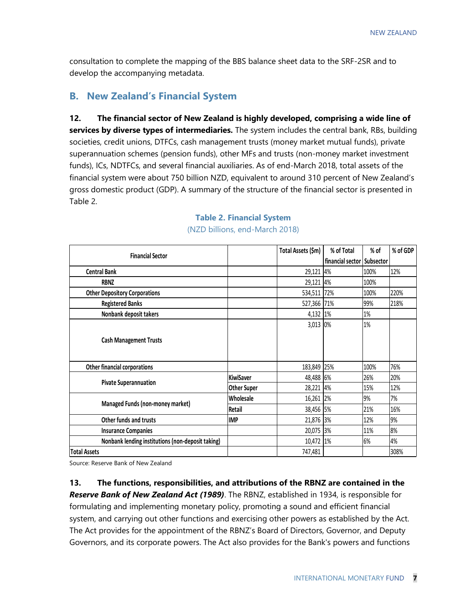consultation to complete the mapping of the BBS balance sheet data to the SRF-2SR and to develop the accompanying metadata.

#### **B. New Zealand's Financial System**

**12. The financial sector of New Zealand is highly developed, comprising a wide line of services by diverse types of intermediaries.** The system includes the central bank, RBs, building societies, credit unions, DTFCs, cash management trusts (money market mutual funds), private superannuation schemes (pension funds), other MFs and trusts (non-money market investment funds), ICs, NDTFCs, and several financial auxiliaries. As of end-March 2018, total assets of the financial system were about 750 billion NZD, equivalent to around 310 percent of New Zealand's gross domestic product (GDP). A summary of the structure of the financial sector is presented in Table 2.

| <b>Financial Sector</b>                           |                    | Total Assets (\$m) | % of Total       | % of      | % of GDP |
|---------------------------------------------------|--------------------|--------------------|------------------|-----------|----------|
|                                                   |                    |                    | financial sector | Subsector |          |
| <b>Central Bank</b>                               |                    | 29,121 4%          |                  | 100%      | 12%      |
| <b>RBNZ</b>                                       |                    | 29,121             | 4%               | 100%      |          |
| <b>Other Depository Corporations</b>              |                    | 534,511            | 72%              | 100%      | 220%     |
| <b>Registered Banks</b>                           |                    | 527,366 71%        |                  | 99%       | 218%     |
| Nonbank deposit takers                            |                    | 4,132 1%           |                  | 1%        |          |
|                                                   |                    | 3,013 0%           |                  | $1\%$     |          |
| <b>Cash Management Trusts</b>                     |                    |                    |                  |           |          |
|                                                   |                    |                    |                  |           |          |
|                                                   |                    |                    |                  |           |          |
| <b>Other financial corporations</b>               |                    | 183,849            | 25%              | 100%      | 76%      |
| <b>Pivate Superannuation</b>                      | <b>KiwiSaver</b>   | 48,488 6%          |                  | 26%       | 20%      |
|                                                   | <b>Other Super</b> | 28,221             | 4%               | 15%       | 12%      |
| Managed Funds (non-money market)                  | Wholesale          | 16,261 2%          |                  | 9%        | 7%       |
|                                                   | Retail             | 38,456 5%          |                  | 21%       | 16%      |
| Other funds and trusts                            | <b>IMP</b>         | 21,876 3%          |                  | 12%       | 9%       |
| <b>Insurance Companies</b>                        |                    | 20,075 3%          |                  | 11%       | 8%       |
| Nonbank lending institutions (non-deposit taking) |                    | 10,472 1%          |                  | 6%        | 4%       |
| <b>Total Assets</b>                               |                    | 747,481            |                  |           | 308%     |

#### **Table 2. Financial System**  (NZD billions, end-March 2018)

Source: Reserve Bank of New Zealand

**13. The functions, responsibilities, and attributions of the RBNZ are contained in the**  *Reserve Bank of New Zealand Act (1989)*. The RBNZ, established in 1934, is responsible for formulating and implementing monetary policy, promoting a sound and efficient financial system, and carrying out other functions and exercising other powers as established by the Act. The Act provides for the appointment of the RBNZ's Board of Directors, Governor, and Deputy Governors, and its corporate powers. The Act also provides for the Bank's powers and functions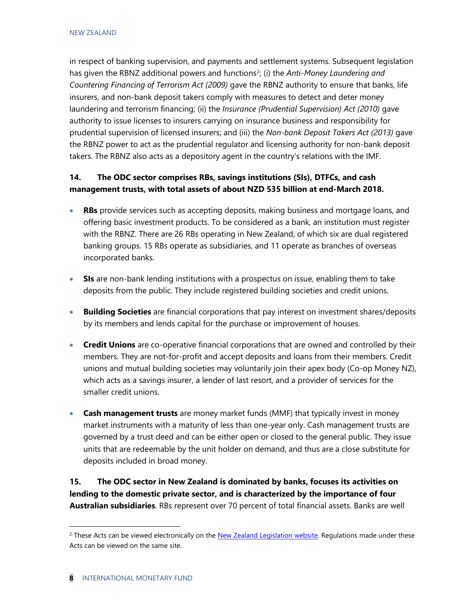in respect of banking supervision, and payments and settlement systems. Subsequent legislation has given the RBNZ additional powers and functions<sup>[2](#page-8-0)</sup>; (i) the *Anti-Money Laundering and Countering Financing of Terrorism Act (2009)* gave the RBNZ authority to ensure that banks, life insurers, and non-bank deposit takers comply with measures to detect and deter money laundering and terrorism financing; (ii) the *Insurance (Prudential Supervision) Act (2010)* gave authority to issue licenses to insurers carrying on insurance business and responsibility for prudential supervision of licensed insurers; and (iii) the *Non-bank Deposit Takers Act (2013)* gave the RBNZ power to act as the prudential regulator and licensing authority for non-bank deposit takers. The RBNZ also acts as a depository agent in the country's relations with the IMF.

#### **14. The ODC sector comprises RBs, savings institutions (SIs), DTFCs, and cash management trusts, with total assets of about NZD 535 billion at end-March 2018.**

- **RBs** provide services such as accepting deposits, making business and mortgage loans, and offering basic investment products. To be considered as a bank, an institution must register with the RBNZ. There are 26 RBs operating in New Zealand, of which six are dual registered banking groups. 15 RBs operate as subsidiaries, and 11 operate as branches of overseas incorporated banks.
- **SIs** are non-bank lending institutions with a prospectus on issue, enabling them to take deposits from the public. They include registered building societies and credit unions.
- **Building Societies** are financial corporations that pay interest on investment shares/deposits by its members and lends capital for the purchase or improvement of houses.
- **Credit Unions** are co-operative financial corporations that are owned and controlled by their members. They are not-for-profit and accept deposits and loans from their members. Credit unions and mutual building societies may voluntarily join their apex body (Co-op Money NZ), which acts as a savings insurer, a lender of last resort, and a provider of services for the smaller credit unions.
- **Cash management trusts** are money market funds (MMF) that typically invest in money market instruments with a maturity of less than one-year only. Cash management trusts are governed by a trust deed and can be either open or closed to the general public. They issue units that are redeemable by the unit holder on demand, and thus are a close substitute for deposits included in broad money.

**15. The ODC sector in New Zealand is dominated by banks, focuses its activities on lending to the domestic private sector, and is characterized by the importance of four Australian subsidiaries**. RBs represent over 70 percent of total financial assets. Banks are well

<span id="page-8-0"></span> $<sup>2</sup>$  These Acts can be viewed electronically on the [New Zealand Legislation website.](http://www.legislation.govt.nz/) Regulations made under these</sup> Acts can be viewed on the same site.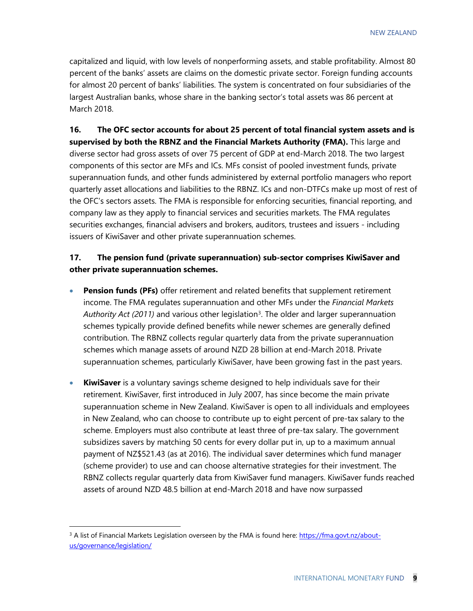capitalized and liquid, with low levels of nonperforming assets, and stable profitability. Almost 80 percent of the banks' assets are claims on the domestic private sector. Foreign funding accounts for almost 20 percent of banks' liabilities. The system is concentrated on four subsidiaries of the largest Australian banks, whose share in the banking sector's total assets was 86 percent at March 2018.

**16. The OFC sector accounts for about 25 percent of total financial system assets and is supervised by both the RBNZ and the Financial Markets Authority (FMA).** This large and diverse sector had gross assets of over 75 percent of GDP at end-March 2018. The two largest components of this sector are MFs and ICs. MFs consist of pooled investment funds, private superannuation funds, and other funds administered by external portfolio managers who report quarterly asset allocations and liabilities to the RBNZ. ICs and non-DTFCs make up most of rest of the OFC's sectors assets. The FMA is responsible for enforcing securities, financial reporting, and company law as they apply to financial services and securities markets. The FMA regulates securities exchanges, financial advisers and brokers, auditors, trustees and issuers - including issuers of KiwiSaver and other private superannuation schemes.

#### **17. The pension fund (private superannuation) sub-sector comprises KiwiSaver and other private superannuation schemes.**

- **Pension funds (PFs)** offer retirement and related benefits that supplement retirement income. The FMA regulates superannuation and other MFs under the *Financial Markets Authority Act (2011)* and various other legislatio[n3.](#page-9-0) The older and larger superannuation schemes typically provide defined benefits while newer schemes are generally defined contribution. The RBNZ collects regular quarterly data from the private superannuation schemes which manage assets of around NZD 28 billion at end-March 2018. Private superannuation schemes, particularly KiwiSaver, have been growing fast in the past years.
- **KiwiSaver** is a voluntary savings scheme designed to help individuals save for their retirement. KiwiSaver, first introduced in July 2007, has since become the main private superannuation scheme in New Zealand. KiwiSaver is open to all individuals and employees in New Zealand, who can choose to contribute up to eight percent of pre-tax salary to the scheme. Employers must also contribute at least three of pre-tax salary. The government subsidizes savers by matching 50 cents for every dollar put in, up to a maximum annual payment of NZ\$521.43 (as at 2016). The individual saver determines which fund manager (scheme provider) to use and can choose alternative strategies for their investment. The RBNZ collects regular quarterly data from KiwiSaver fund managers. KiwiSaver funds reached assets of around NZD 48.5 billion at end-March 2018 and have now surpassed

<span id="page-9-0"></span> $3$  A list of Financial Markets Legislation overseen by the FMA is found here[: https://fma.govt.nz/about](https://fma.govt.nz/about-us/governance/legislation/)[us/governance/legislation/](https://fma.govt.nz/about-us/governance/legislation/)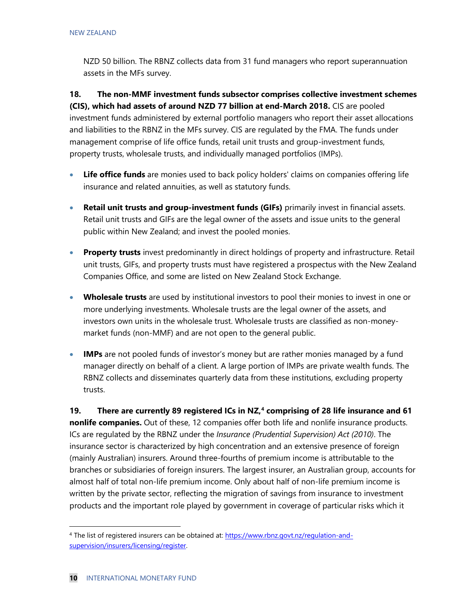NZD 50 billion. The RBNZ collects data from 31 fund managers who report superannuation assets in the MFs survey.

**18. The non-MMF investment funds subsector comprises collective investment schemes (CIS), which had assets of around NZD 77 billion at end-March 2018.** CIS are pooled investment funds administered by external portfolio managers who report their asset allocations and liabilities to the RBNZ in the MFs survey. CIS are regulated by the FMA. The funds under management comprise of life office funds, retail unit trusts and group-investment funds, property trusts, wholesale trusts, and individually managed portfolios (IMPs).

- **Life office funds** are monies used to back policy holders' claims on companies offering life insurance and related annuities, as well as statutory funds.
- **Retail unit trusts and group-investment funds (GIFs)** primarily invest in financial assets. Retail unit trusts and GIFs are the legal owner of the assets and issue units to the general public within New Zealand; and invest the pooled monies.
- **Property trusts** invest predominantly in direct holdings of property and infrastructure. Retail unit trusts, GIFs, and property trusts must have registered a prospectus with the New Zealand Companies Office, and some are listed on New Zealand Stock Exchange.
- **Wholesale trusts** are used by institutional investors to pool their monies to invest in one or more underlying investments. Wholesale trusts are the legal owner of the assets, and investors own units in the wholesale trust. Wholesale trusts are classified as non-moneymarket funds (non-MMF) and are not open to the general public.
- **IMPs** are not pooled funds of investor's money but are rather monies managed by a fund manager directly on behalf of a client. A large portion of IMPs are private wealth funds. The RBNZ collects and disseminates quarterly data from these institutions, excluding property trusts.

**19. There are currently 89 registered ICs in NZ, [4](#page-10-0) comprising of 28 life insurance and 61 nonlife companies.** Out of these, 12 companies offer both life and nonlife insurance products. ICs are regulated by the RBNZ under the *Insurance (Prudential Supervision) Act (2010)*. The insurance sector is characterized by high concentration and an extensive presence of foreign (mainly Australian) insurers. Around three-fourths of premium income is attributable to the branches or subsidiaries of foreign insurers. The largest insurer, an Australian group, accounts for almost half of total non-life premium income. Only about half of non-life premium income is written by the private sector, reflecting the migration of savings from insurance to investment products and the important role played by government in coverage of particular risks which it

<span id="page-10-0"></span> <sup>4</sup> The list of registered insurers can be obtained at[: https://www.rbnz.govt.nz/regulation-and](https://www.rbnz.govt.nz/regulation-and-supervision/insurers/licensing/register)[supervision/insurers/licensing/register.](https://www.rbnz.govt.nz/regulation-and-supervision/insurers/licensing/register)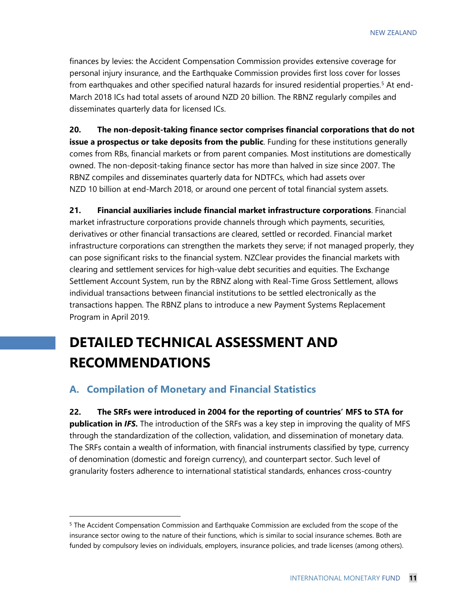finances by levies: the Accident Compensation Commission provides extensive coverage for personal injury insurance, and the Earthquake Commission provides first loss cover for losses from earthquakes and other specified natural hazards for insured residential properties.<sup>[5](#page-11-0)</sup> At end-March 2018 ICs had total assets of around NZD 20 billion. The RBNZ regularly compiles and disseminates quarterly data for licensed ICs.

**20. The non-deposit-taking finance sector comprises financial corporations that do not issue a prospectus or take deposits from the public**. Funding for these institutions generally comes from RBs, financial markets or from parent companies. Most institutions are domestically owned. The non-deposit-taking finance sector has more than halved in size since 2007. The RBNZ compiles and disseminates quarterly data for NDTFCs, which had assets over NZD 10 billion at end-March 2018, or around one percent of total financial system assets.

**21. Financial auxiliaries include financial market infrastructure corporations**. Financial market infrastructure corporations provide channels through which payments, securities, derivatives or other financial transactions are cleared, settled or recorded. Financial market infrastructure corporations can strengthen the markets they serve; if not managed properly, they can pose significant risks to the financial system. NZClear provides the financial markets with clearing and settlement services for high-value debt securities and equities. The Exchange Settlement Account System, run by the RBNZ along with Real-Time Gross Settlement, allows individual transactions between financial institutions to be settled electronically as the transactions happen. The RBNZ plans to introduce a new Payment Systems Replacement Program in April 2019.

### **DETAILED TECHNICAL ASSESSMENT AND RECOMMENDATIONS**

#### **A. Compilation of Monetary and Financial Statistics**

**22. The SRFs were introduced in 2004 for the reporting of countries' MFS to STA for publication in** *IFS***.** The introduction of the SRFs was a key step in improving the quality of MFS through the standardization of the collection, validation, and dissemination of monetary data. The SRFs contain a wealth of information, with financial instruments classified by type, currency of denomination (domestic and foreign currency), and counterpart sector. Such level of granularity fosters adherence to international statistical standards, enhances cross-country

<span id="page-11-0"></span><sup>&</sup>lt;sup>5</sup> The Accident Compensation Commission and Earthquake Commission are excluded from the scope of the insurance sector owing to the nature of their functions, which is similar to social insurance schemes. Both are funded by compulsory levies on individuals, employers, insurance policies, and trade licenses (among others).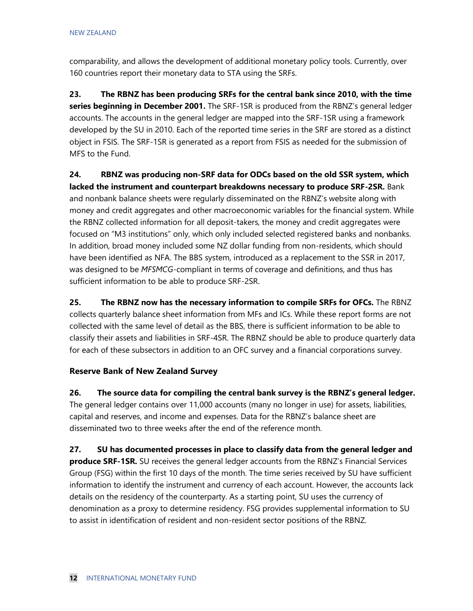comparability, and allows the development of additional monetary policy tools. Currently, over 160 countries report their monetary data to STA using the SRFs.

**23. The RBNZ has been producing SRFs for the central bank since 2010, with the time series beginning in December 2001.** The SRF-1SR is produced from the RBNZ's general ledger accounts. The accounts in the general ledger are mapped into the SRF-1SR using a framework developed by the SU in 2010. Each of the reported time series in the SRF are stored as a distinct object in FSIS. The SRF-1SR is generated as a report from FSIS as needed for the submission of MFS to the Fund.

**24. RBNZ was producing non-SRF data for ODCs based on the old SSR system, which lacked the instrument and counterpart breakdowns necessary to produce SRF-2SR.** Bank and nonbank balance sheets were regularly disseminated on the RBNZ's website along with money and credit aggregates and other macroeconomic variables for the financial system. While the RBNZ collected information for all deposit-takers, the money and credit aggregates were focused on "M3 institutions" only, which only included selected registered banks and nonbanks. In addition, broad money included some NZ dollar funding from non-residents, which should have been identified as NFA. The BBS system, introduced as a replacement to the SSR in 2017, was designed to be *MFSMCG*-compliant in terms of coverage and definitions, and thus has sufficient information to be able to produce SRF-2SR.

**25. The RBNZ now has the necessary information to compile SRFs for OFCs.** The RBNZ collects quarterly balance sheet information from MFs and ICs. While these report forms are not collected with the same level of detail as the BBS, there is sufficient information to be able to classify their assets and liabilities in SRF-4SR. The RBNZ should be able to produce quarterly data for each of these subsectors in addition to an OFC survey and a financial corporations survey.

#### **Reserve Bank of New Zealand Survey**

**26. The source data for compiling the central bank survey is the RBNZ's general ledger.** The general ledger contains over 11,000 accounts (many no longer in use) for assets, liabilities, capital and reserves, and income and expenses. Data for the RBNZ's balance sheet are disseminated two to three weeks after the end of the reference month.

**27. SU has documented processes in place to classify data from the general ledger and produce SRF-1SR.** SU receives the general ledger accounts from the RBNZ's Financial Services Group (FSG) within the first 10 days of the month. The time series received by SU have sufficient information to identify the instrument and currency of each account. However, the accounts lack details on the residency of the counterparty. As a starting point, SU uses the currency of denomination as a proxy to determine residency. FSG provides supplemental information to SU to assist in identification of resident and non-resident sector positions of the RBNZ.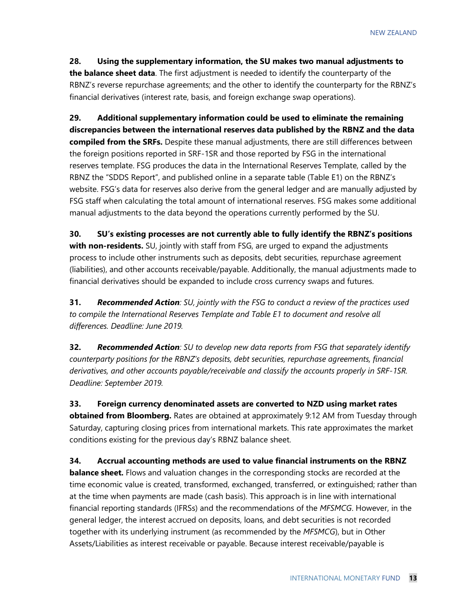#### **28. Using the supplementary information, the SU makes two manual adjustments to**

**the balance sheet data**. The first adjustment is needed to identify the counterparty of the RBNZ's reverse repurchase agreements; and the other to identify the counterparty for the RBNZ's financial derivatives (interest rate, basis, and foreign exchange swap operations).

**29. Additional supplementary information could be used to eliminate the remaining discrepancies between the international reserves data published by the RBNZ and the data compiled from the SRFs.** Despite these manual adjustments, there are still differences between the foreign positions reported in SRF-1SR and those reported by FSG in the international reserves template. FSG produces the data in the International Reserves Template, called by the RBNZ the "SDDS Report", and published online in a separate table (Table E1) on the RBNZ's website. FSG's data for reserves also derive from the general ledger and are manually adjusted by FSG staff when calculating the total amount of international reserves. FSG makes some additional manual adjustments to the data beyond the operations currently performed by the SU.

**30. SU's existing processes are not currently able to fully identify the RBNZ's positions with non-residents.** SU, jointly with staff from FSG, are urged to expand the adjustments process to include other instruments such as deposits, debt securities, repurchase agreement (liabilities), and other accounts receivable/payable. Additionally, the manual adjustments made to financial derivatives should be expanded to include cross currency swaps and futures.

**31.** *Recommended Action: SU, jointly with the FSG to conduct a review of the practices used to compile the International Reserves Template and Table E1 to document and resolve all differences. Deadline: June 2019.* 

**32.** *Recommended Action: SU to develop new data reports from FSG that separately identify counterparty positions for the RBNZ's deposits, debt securities, repurchase agreements, financial derivatives, and other accounts payable/receivable and classify the accounts properly in SRF-1SR. Deadline: September 2019.*

**33. Foreign currency denominated assets are converted to NZD using market rates obtained from Bloomberg.** Rates are obtained at approximately 9:12 AM from Tuesday through Saturday, capturing closing prices from international markets. This rate approximates the market conditions existing for the previous day's RBNZ balance sheet.

**34. Accrual accounting methods are used to value financial instruments on the RBNZ balance sheet.** Flows and valuation changes in the corresponding stocks are recorded at the time economic value is created, transformed, exchanged, transferred, or extinguished; rather than at the time when payments are made (cash basis). This approach is in line with international financial reporting standards (IFRSs) and the recommendations of the *MFSMCG*. However, in the general ledger, the interest accrued on deposits, loans, and debt securities is not recorded together with its underlying instrument (as recommended by the *MFSMCG*), but in Other Assets/Liabilities as interest receivable or payable. Because interest receivable/payable is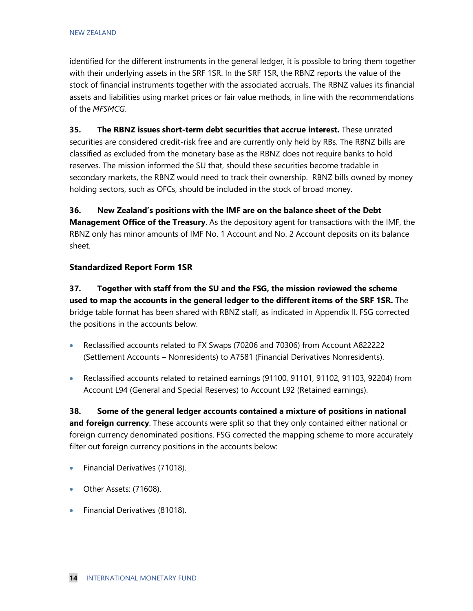identified for the different instruments in the general ledger, it is possible to bring them together with their underlying assets in the SRF 1SR. In the SRF 1SR, the RBNZ reports the value of the stock of financial instruments together with the associated accruals. The RBNZ values its financial assets and liabilities using market prices or fair value methods, in line with the recommendations of the *MFSMCG*.

**35. The RBNZ issues short-term debt securities that accrue interest.** These unrated securities are considered credit-risk free and are currently only held by RBs. The RBNZ bills are classified as excluded from the monetary base as the RBNZ does not require banks to hold reserves. The mission informed the SU that, should these securities become tradable in secondary markets, the RBNZ would need to track their ownership. RBNZ bills owned by money holding sectors, such as OFCs, should be included in the stock of broad money.

**36. New Zealand's positions with the IMF are on the balance sheet of the Debt** 

**Management Office of the Treasury**. As the depository agent for transactions with the IMF, the RBNZ only has minor amounts of IMF No. 1 Account and No. 2 Account deposits on its balance sheet.

#### **Standardized Report Form 1SR**

**37. Together with staff from the SU and the FSG, the mission reviewed the scheme used to map the accounts in the general ledger to the different items of the SRF 1SR.** The bridge table format has been shared with RBNZ staff, as indicated in Appendix II. FSG corrected the positions in the accounts below.

- Reclassified accounts related to FX Swaps (70206 and 70306) from Account A822222 (Settlement Accounts – Nonresidents) to A7581 (Financial Derivatives Nonresidents).
- Reclassified accounts related to retained earnings (91100, 91101, 91102, 91103, 92204) from Account L94 (General and Special Reserves) to Account L92 (Retained earnings).

**38. Some of the general ledger accounts contained a mixture of positions in national and foreign currency**. These accounts were split so that they only contained either national or foreign currency denominated positions. FSG corrected the mapping scheme to more accurately filter out foreign currency positions in the accounts below:

- Financial Derivatives (71018).
- Other Assets: (71608).
- Financial Derivatives (81018).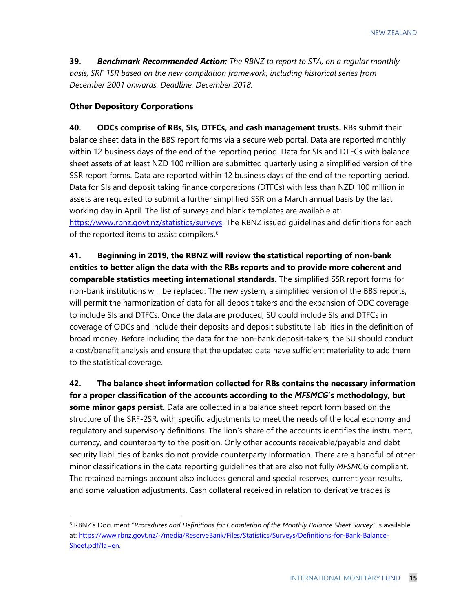**39.** *Benchmark Recommended Action: The RBNZ to report to STA, on a regular monthly basis, SRF 1SR based on the new compilation framework, including historical series from December 2001 onwards. Deadline: December 2018.* 

#### **Other Depository Corporations**

**40. ODCs comprise of RBs, SIs, DTFCs, and cash management trusts.** RBs submit their balance sheet data in the BBS report forms via a secure web portal. Data are reported monthly within 12 business days of the end of the reporting period. Data for SIs and DTFCs with balance sheet assets of at least NZD 100 million are submitted quarterly using a simplified version of the SSR report forms. Data are reported within 12 business days of the end of the reporting period. Data for SIs and deposit taking finance corporations (DTFCs) with less than NZD 100 million in assets are requested to submit a further simplified SSR on a March annual basis by the last working day in April. The list of surveys and blank templates are available at: [https://www.rbnz.govt.nz/statistics/surveys.](https://www.rbnz.govt.nz/statistics/surveys) The RBNZ issued guidelines and definitions for each of the reported items to assist compilers.<sup>[6](#page-15-0)</sup>

**41. Beginning in 2019, the RBNZ will review the statistical reporting of non-bank entities to better align the data with the RBs reports and to provide more coherent and comparable statistics meeting international standards.** The simplified SSR report forms for non-bank institutions will be replaced. The new system, a simplified version of the BBS reports, will permit the harmonization of data for all deposit takers and the expansion of ODC coverage to include SIs and DTFCs. Once the data are produced, SU could include SIs and DTFCs in coverage of ODCs and include their deposits and deposit substitute liabilities in the definition of broad money. Before including the data for the non-bank deposit-takers, the SU should conduct a cost/benefit analysis and ensure that the updated data have sufficient materiality to add them to the statistical coverage.

**42. The balance sheet information collected for RBs contains the necessary information for a proper classification of the accounts according to the** *MFSMCG***'s methodology, but some minor gaps persist.** Data are collected in a balance sheet report form based on the structure of the SRF-2SR, with specific adjustments to meet the needs of the local economy and regulatory and supervisory definitions. The lion's share of the accounts identifies the instrument, currency, and counterparty to the position. Only other accounts receivable/payable and debt security liabilities of banks do not provide counterparty information. There are a handful of other minor classifications in the data reporting guidelines that are also not fully *MFSMCG* compliant. The retained earnings account also includes general and special reserves, current year results, and some valuation adjustments. Cash collateral received in relation to derivative trades is

<span id="page-15-0"></span> <sup>6</sup> RBNZ's Document "*Procedures and Definitions for Completion of the Monthly Balance Sheet Survey"* is available at: [https://www.rbnz.govt.nz/-/media/ReserveBank/Files/Statistics/Surveys/Definitions-for-Bank-Balance-](https://www.rbnz.govt.nz/-/media/ReserveBank/Files/Statistics/Surveys/Definitions-for-Bank-Balance-Sheet.pdf?la=en)[Sheet.pdf?la=en.](https://www.rbnz.govt.nz/-/media/ReserveBank/Files/Statistics/Surveys/Definitions-for-Bank-Balance-Sheet.pdf?la=en)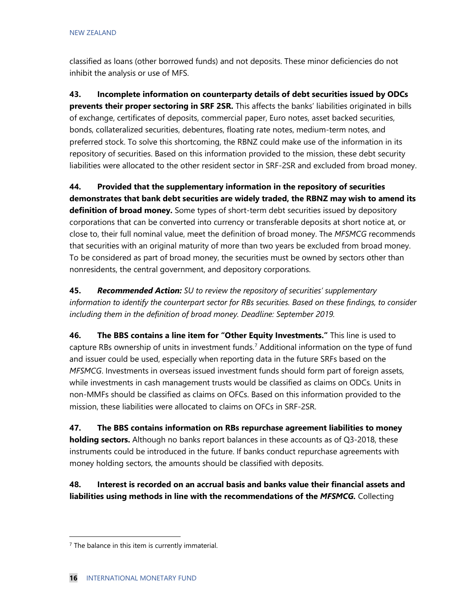classified as loans (other borrowed funds) and not deposits. These minor deficiencies do not inhibit the analysis or use of MFS.

**43. Incomplete information on counterparty details of debt securities issued by ODCs prevents their proper sectoring in SRF 2SR.** This affects the banks' liabilities originated in bills of exchange, certificates of deposits, commercial paper, Euro notes, asset backed securities, bonds, collateralized securities, debentures, floating rate notes, medium-term notes, and preferred stock. To solve this shortcoming, the RBNZ could make use of the information in its repository of securities. Based on this information provided to the mission, these debt security liabilities were allocated to the other resident sector in SRF-2SR and excluded from broad money.

**44. Provided that the supplementary information in the repository of securities demonstrates that bank debt securities are widely traded, the RBNZ may wish to amend its definition of broad money.** Some types of short-term debt securities issued by depository corporations that can be converted into currency or transferable deposits at short notice at, or close to, their full nominal value, meet the definition of broad money. The *MFSMCG* recommends that securities with an original maturity of more than two years be excluded from broad money. To be considered as part of broad money, the securities must be owned by sectors other than nonresidents, the central government, and depository corporations.

**45.** *Recommended Action: SU to review the repository of securities' supplementary information to identify the counterpart sector for RBs securities. Based on these findings, to consider including them in the definition of broad money. Deadline: September 2019.* 

**46. The BBS contains a line item for "Other Equity Investments."** This line is used to capture RBs ownership of units in investment funds. [7](#page-16-0) Additional information on the type of fund and issuer could be used, especially when reporting data in the future SRFs based on the *MFSMCG*. Investments in overseas issued investment funds should form part of foreign assets, while investments in cash management trusts would be classified as claims on ODCs. Units in non-MMFs should be classified as claims on OFCs. Based on this information provided to the mission, these liabilities were allocated to claims on OFCs in SRF-2SR.

**47. The BBS contains information on RBs repurchase agreement liabilities to money holding sectors.** Although no banks report balances in these accounts as of Q3-2018, these instruments could be introduced in the future. If banks conduct repurchase agreements with money holding sectors, the amounts should be classified with deposits.

**48. Interest is recorded on an accrual basis and banks value their financial assets and liabilities using methods in line with the recommendations of the** *MFSMCG.* Collecting

<span id="page-16-0"></span> $<sup>7</sup>$  The balance in this item is currently immaterial.</sup>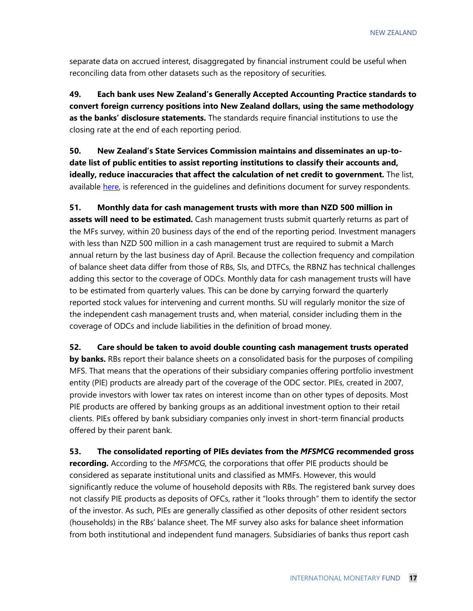separate data on accrued interest, disaggregated by financial instrument could be useful when reconciling data from other datasets such as the repository of securities.

**49. Each bank uses New Zealand's Generally Accepted Accounting Practice standards to convert foreign currency positions into New Zealand dollars, using the same methodology as the banks' disclosure statements.** The standards require financial institutions to use the closing rate at the end of each reporting period.

**50. New Zealand's State Services Commission maintains and disseminates an up-todate list of public entities to assist reporting institutions to classify their accounts and, ideally, reduce inaccuracies that affect the calculation of net credit to government.** The list, available [here,](http://www.ssc.govt.nz/state_sector_organisations) is referenced in the quidelines and definitions document for survey respondents.

**51. Monthly data for cash management trusts with more than NZD 500 million in assets will need to be estimated.** Cash management trusts submit quarterly returns as part of the MFs survey, within 20 business days of the end of the reporting period. Investment managers with less than NZD 500 million in a cash management trust are required to submit a March annual return by the last business day of April. Because the collection frequency and compilation of balance sheet data differ from those of RBs, SIs, and DTFCs, the RBNZ has technical challenges adding this sector to the coverage of ODCs. Monthly data for cash management trusts will have to be estimated from quarterly values. This can be done by carrying forward the quarterly reported stock values for intervening and current months. SU will regularly monitor the size of the independent cash management trusts and, when material, consider including them in the coverage of ODCs and include liabilities in the definition of broad money.

**52. Care should be taken to avoid double counting cash management trusts operated** 

**by banks.** RBs report their balance sheets on a consolidated basis for the purposes of compiling MFS. That means that the operations of their subsidiary companies offering portfolio investment entity (PIE) products are already part of the coverage of the ODC sector. PIEs, created in 2007, provide investors with lower tax rates on interest income than on other types of deposits. Most PIE products are offered by banking groups as an additional investment option to their retail clients. PIEs offered by bank subsidiary companies only invest in short-term financial products offered by their parent bank.

**53. The consolidated reporting of PIEs deviates from the** *MFSMCG* **recommended gross recording.** According to the *MFSMCG,* the corporations that offer PIE products should be considered as separate institutional units and classified as MMFs. However, this would significantly reduce the volume of household deposits with RBs. The registered bank survey does not classify PIE products as deposits of OFCs, rather it "looks through" them to identify the sector of the investor. As such, PIEs are generally classified as other deposits of other resident sectors (households) in the RBs' balance sheet. The MF survey also asks for balance sheet information from both institutional and independent fund managers. Subsidiaries of banks thus report cash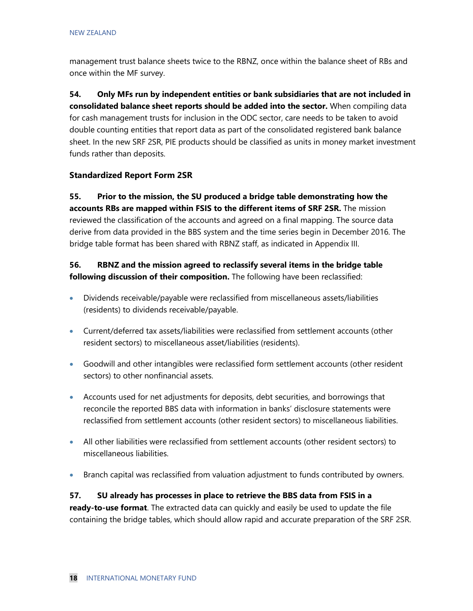management trust balance sheets twice to the RBNZ, once within the balance sheet of RBs and once within the MF survey.

**54. Only MFs run by independent entities or bank subsidiaries that are not included in consolidated balance sheet reports should be added into the sector.** When compiling data for cash management trusts for inclusion in the ODC sector, care needs to be taken to avoid double counting entities that report data as part of the consolidated registered bank balance sheet. In the new SRF 2SR, PIE products should be classified as units in money market investment funds rather than deposits.

#### **Standardized Report Form 2SR**

**55. Prior to the mission, the SU produced a bridge table demonstrating how the accounts RBs are mapped within FSIS to the different items of SRF 2SR.** The mission reviewed the classification of the accounts and agreed on a final mapping. The source data derive from data provided in the BBS system and the time series begin in December 2016. The bridge table format has been shared with RBNZ staff, as indicated in Appendix III.

#### **56. RBNZ and the mission agreed to reclassify several items in the bridge table following discussion of their composition.** The following have been reclassified:

- Dividends receivable/payable were reclassified from miscellaneous assets/liabilities (residents) to dividends receivable/payable.
- Current/deferred tax assets/liabilities were reclassified from settlement accounts (other resident sectors) to miscellaneous asset/liabilities (residents).
- Goodwill and other intangibles were reclassified form settlement accounts (other resident sectors) to other nonfinancial assets.
- Accounts used for net adjustments for deposits, debt securities, and borrowings that reconcile the reported BBS data with information in banks' disclosure statements were reclassified from settlement accounts (other resident sectors) to miscellaneous liabilities.
- All other liabilities were reclassified from settlement accounts (other resident sectors) to miscellaneous liabilities.
- Branch capital was reclassified from valuation adjustment to funds contributed by owners.

**57. SU already has processes in place to retrieve the BBS data from FSIS in a ready-to-use format**. The extracted data can quickly and easily be used to update the file containing the bridge tables, which should allow rapid and accurate preparation of the SRF 2SR.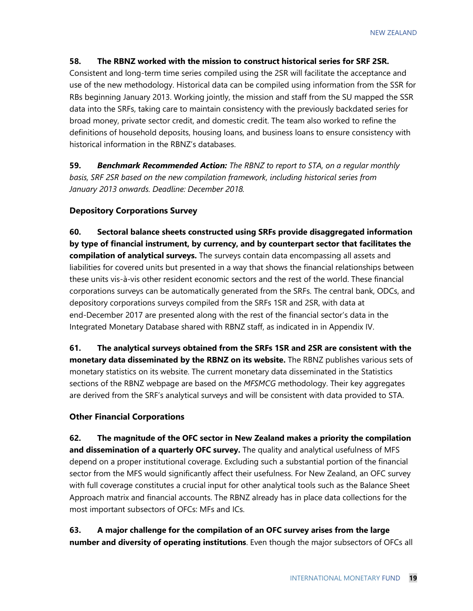#### **58. The RBNZ worked with the mission to construct historical series for SRF 2SR.**

Consistent and long-term time series compiled using the 2SR will facilitate the acceptance and use of the new methodology. Historical data can be compiled using information from the SSR for RBs beginning January 2013. Working jointly, the mission and staff from the SU mapped the SSR data into the SRFs, taking care to maintain consistency with the previously backdated series for broad money, private sector credit, and domestic credit. The team also worked to refine the definitions of household deposits, housing loans, and business loans to ensure consistency with historical information in the RBNZ's databases.

**59.** *Benchmark Recommended Action: The RBNZ to report to STA, on a regular monthly basis, SRF 2SR based on the new compilation framework, including historical series from January 2013 onwards. Deadline: December 2018.*

#### **Depository Corporations Survey**

**60. Sectoral balance sheets constructed using SRFs provide disaggregated information by type of financial instrument, by currency, and by counterpart sector that facilitates the compilation of analytical surveys.** The surveys contain data encompassing all assets and liabilities for covered units but presented in a way that shows the financial relationships between these units vis-à-vis other resident economic sectors and the rest of the world. These financial corporations surveys can be automatically generated from the SRFs. The central bank, ODCs, and depository corporations surveys compiled from the SRFs 1SR and 2SR, with data at end-December 2017 are presented along with the rest of the financial sector's data in the Integrated Monetary Database shared with RBNZ staff, as indicated in in Appendix IV.

**61. The analytical surveys obtained from the SRFs 1SR and 2SR are consistent with the monetary data disseminated by the RBNZ on its website.** The RBNZ publishes various sets of monetary statistics on its website. The current monetary data disseminated in the Statistics sections of the RBNZ webpage are based on the *MFSMCG* methodology. Their key aggregates are derived from the SRF's analytical surveys and will be consistent with data provided to STA.

#### **Other Financial Corporations**

**62. The magnitude of the OFC sector in New Zealand makes a priority the compilation and dissemination of a quarterly OFC survey.** The quality and analytical usefulness of MFS depend on a proper institutional coverage. Excluding such a substantial portion of the financial sector from the MFS would significantly affect their usefulness. For New Zealand, an OFC survey with full coverage constitutes a crucial input for other analytical tools such as the Balance Sheet Approach matrix and financial accounts. The RBNZ already has in place data collections for the most important subsectors of OFCs: MFs and ICs.

**63. A major challenge for the compilation of an OFC survey arises from the large number and diversity of operating institutions**. Even though the major subsectors of OFCs all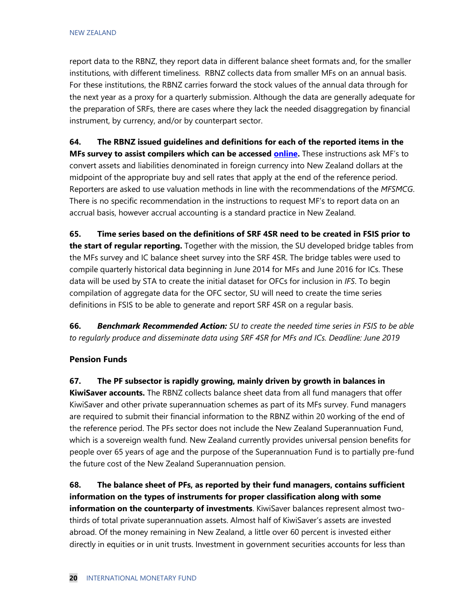report data to the RBNZ, they report data in different balance sheet formats and, for the smaller institutions, with different timeliness. RBNZ collects data from smaller MFs on an annual basis. For these institutions, the RBNZ carries forward the stock values of the annual data through for the next year as a proxy for a quarterly submission. Although the data are generally adequate for the preparation of SRFs, there are cases where they lack the needed disaggregation by financial instrument, by currency, and/or by counterpart sector.

**64. The RBNZ issued guidelines and definitions for each of the reported items in the MFs survey to assist compilers which can be accessed [online.](https://www.rbnz.govt.nz/-/media/ReserveBank/Files/Statistics/Surveys/Definitions-for-managed-funds-survey.pdf?la=en)** These instructions ask MF's to convert assets and liabilities denominated in foreign currency into New Zealand dollars at the midpoint of the appropriate buy and sell rates that apply at the end of the reference period. Reporters are asked to use valuation methods in line with the recommendations of the *MFSMCG*. There is no specific recommendation in the instructions to request MF's to report data on an accrual basis, however accrual accounting is a standard practice in New Zealand.

**65. Time series based on the definitions of SRF 4SR need to be created in FSIS prior to the start of regular reporting.** Together with the mission, the SU developed bridge tables from the MFs survey and IC balance sheet survey into the SRF 4SR. The bridge tables were used to compile quarterly historical data beginning in June 2014 for MFs and June 2016 for ICs. These data will be used by STA to create the initial dataset for OFCs for inclusion in *IFS*. To begin compilation of aggregate data for the OFC sector, SU will need to create the time series definitions in FSIS to be able to generate and report SRF 4SR on a regular basis.

**66.** *Benchmark Recommended Action: SU to create the needed time series in FSIS to be able to regularly produce and disseminate data using SRF 4SR for MFs and ICs. Deadline: June 2019* 

#### **Pension Funds**

**67. The PF subsector is rapidly growing, mainly driven by growth in balances in KiwiSaver accounts.** The RBNZ collects balance sheet data from all fund managers that offer KiwiSaver and other private superannuation schemes as part of its MFs survey. Fund managers are required to submit their financial information to the RBNZ within 20 working of the end of the reference period. The PFs sector does not include the New Zealand Superannuation Fund, which is a sovereign wealth fund. New Zealand currently provides universal pension benefits for people over 65 years of age and the purpose of the Superannuation Fund is to partially pre-fund the future cost of the New Zealand Superannuation pension.

**68. The balance sheet of PFs, as reported by their fund managers, contains sufficient information on the types of instruments for proper classification along with some information on the counterparty of investments**. KiwiSaver balances represent almost twothirds of total private superannuation assets. Almost half of KiwiSaver's assets are invested abroad. Of the money remaining in New Zealand, a little over 60 percent is invested either directly in equities or in unit trusts. Investment in government securities accounts for less than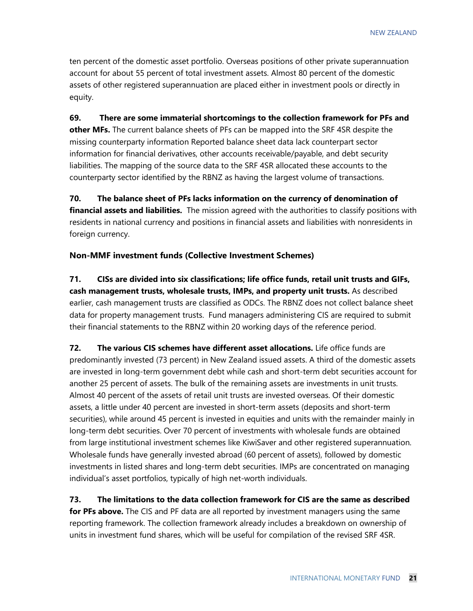ten percent of the domestic asset portfolio. Overseas positions of other private superannuation account for about 55 percent of total investment assets. Almost 80 percent of the domestic assets of other registered superannuation are placed either in investment pools or directly in equity.

**69. There are some immaterial shortcomings to the collection framework for PFs and other MFs.** The current balance sheets of PFs can be mapped into the SRF 4SR despite the missing counterparty information Reported balance sheet data lack counterpart sector information for financial derivatives, other accounts receivable/payable, and debt security liabilities. The mapping of the source data to the SRF 4SR allocated these accounts to the counterparty sector identified by the RBNZ as having the largest volume of transactions.

**70. The balance sheet of PFs lacks information on the currency of denomination of financial assets and liabilities.** The mission agreed with the authorities to classify positions with residents in national currency and positions in financial assets and liabilities with nonresidents in foreign currency.

#### **Non-MMF investment funds (Collective Investment Schemes)**

**71. CISs are divided into six classifications; life office funds, retail unit trusts and GIFs, cash management trusts, wholesale trusts, IMPs, and property unit trusts.** As described earlier, cash management trusts are classified as ODCs. The RBNZ does not collect balance sheet data for property management trusts. Fund managers administering CIS are required to submit their financial statements to the RBNZ within 20 working days of the reference period.

**72. The various CIS schemes have different asset allocations.** Life office funds are predominantly invested (73 percent) in New Zealand issued assets. A third of the domestic assets are invested in long-term government debt while cash and short-term debt securities account for another 25 percent of assets. The bulk of the remaining assets are investments in unit trusts. Almost 40 percent of the assets of retail unit trusts are invested overseas. Of their domestic assets, a little under 40 percent are invested in short-term assets (deposits and short-term securities), while around 45 percent is invested in equities and units with the remainder mainly in long-term debt securities. Over 70 percent of investments with wholesale funds are obtained from large institutional investment schemes like KiwiSaver and other registered superannuation. Wholesale funds have generally invested abroad (60 percent of assets), followed by domestic investments in listed shares and long-term debt securities. IMPs are concentrated on managing individual's asset portfolios, typically of high net-worth individuals.

**73. The limitations to the data collection framework for CIS are the same as described for PFs above.** The CIS and PF data are all reported by investment managers using the same reporting framework. The collection framework already includes a breakdown on ownership of units in investment fund shares, which will be useful for compilation of the revised SRF 4SR.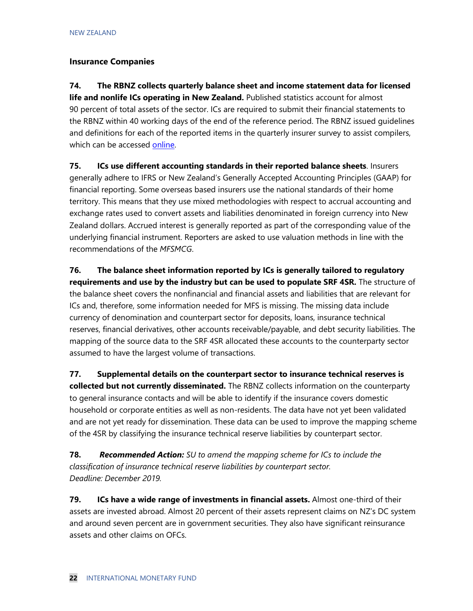#### **Insurance Companies**

**74. The RBNZ collects quarterly balance sheet and income statement data for licensed life and nonlife ICs operating in New Zealand.** Published statistics account for almost 90 percent of total assets of the sector. ICs are required to submit their financial statements to the RBNZ within 40 working days of the end of the reference period. The RBNZ issued guidelines and definitions for each of the reported items in the quarterly insurer survey to assist compilers, which can be accessed [online.](https://www.rbnz.govt.nz/regulation-and-supervision/insurers/new-zealand-insurer-data-collections)

**75. ICs use different accounting standards in their reported balance sheets**. Insurers generally adhere to IFRS or New Zealand's Generally Accepted Accounting Principles (GAAP) for financial reporting. Some overseas based insurers use the national standards of their home territory. This means that they use mixed methodologies with respect to accrual accounting and exchange rates used to convert assets and liabilities denominated in foreign currency into New Zealand dollars. Accrued interest is generally reported as part of the corresponding value of the underlying financial instrument. Reporters are asked to use valuation methods in line with the recommendations of the *MFSMCG*.

**76. The balance sheet information reported by ICs is generally tailored to regulatory requirements and use by the industry but can be used to populate SRF 4SR.** The structure of the balance sheet covers the nonfinancial and financial assets and liabilities that are relevant for ICs and, therefore, some information needed for MFS is missing. The missing data include currency of denomination and counterpart sector for deposits, loans, insurance technical reserves, financial derivatives, other accounts receivable/payable, and debt security liabilities. The mapping of the source data to the SRF 4SR allocated these accounts to the counterparty sector assumed to have the largest volume of transactions.

**77. Supplemental details on the counterpart sector to insurance technical reserves is collected but not currently disseminated.** The RBNZ collects information on the counterparty to general insurance contacts and will be able to identify if the insurance covers domestic household or corporate entities as well as non-residents. The data have not yet been validated and are not yet ready for dissemination. These data can be used to improve the mapping scheme of the 4SR by classifying the insurance technical reserve liabilities by counterpart sector.

**78.** *Recommended Action: SU to amend the mapping scheme for ICs to include the classification of insurance technical reserve liabilities by counterpart sector. Deadline: December 2019.* 

**79. ICs have a wide range of investments in financial assets.** Almost one-third of their assets are invested abroad. Almost 20 percent of their assets represent claims on NZ's DC system and around seven percent are in government securities. They also have significant reinsurance assets and other claims on OFCs.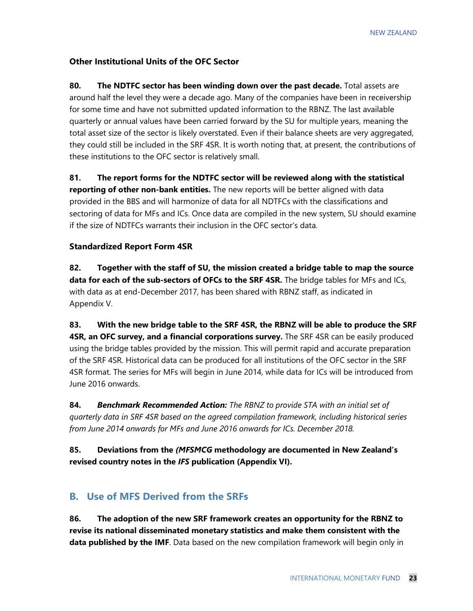#### **Other Institutional Units of the OFC Sector**

**80. The NDTFC sector has been winding down over the past decade.** Total assets are around half the level they were a decade ago. Many of the companies have been in receivership for some time and have not submitted updated information to the RBNZ. The last available quarterly or annual values have been carried forward by the SU for multiple years, meaning the total asset size of the sector is likely overstated. Even if their balance sheets are very aggregated, they could still be included in the SRF 4SR. It is worth noting that, at present, the contributions of these institutions to the OFC sector is relatively small.

**81. The report forms for the NDTFC sector will be reviewed along with the statistical reporting of other non-bank entities.** The new reports will be better aligned with data provided in the BBS and will harmonize of data for all NDTFCs with the classifications and sectoring of data for MFs and ICs. Once data are compiled in the new system, SU should examine if the size of NDTFCs warrants their inclusion in the OFC sector's data.

#### **Standardized Report Form 4SR**

**82. Together with the staff of SU, the mission created a bridge table to map the source**  data for each of the sub-sectors of OFCs to the SRF 4SR. The bridge tables for MFs and ICs, with data as at end-December 2017, has been shared with RBNZ staff, as indicated in Appendix V.

**83. With the new bridge table to the SRF 4SR, the RBNZ will be able to produce the SRF 4SR, an OFC survey, and a financial corporations survey.** The SRF 4SR can be easily produced using the bridge tables provided by the mission. This will permit rapid and accurate preparation of the SRF 4SR. Historical data can be produced for all institutions of the OFC sector in the SRF 4SR format. The series for MFs will begin in June 2014, while data for ICs will be introduced from June 2016 onwards.

**84.** *Benchmark Recommended Action: The RBNZ to provide STA with an initial set of quarterly data in SRF 4SR based on the agreed compilation framework, including historical series from June 2014 onwards for MFs and June 2016 onwards for ICs. December 2018.*

**85. Deviations from the** *(MFSMCG* **methodology are documented in New Zealand's revised country notes in the** *IFS* **publication (Appendix VI).**

#### **B. Use of MFS Derived from the SRFs**

**86. The adoption of the new SRF framework creates an opportunity for the RBNZ to revise its national disseminated monetary statistics and make them consistent with the data published by the IMF**. Data based on the new compilation framework will begin only in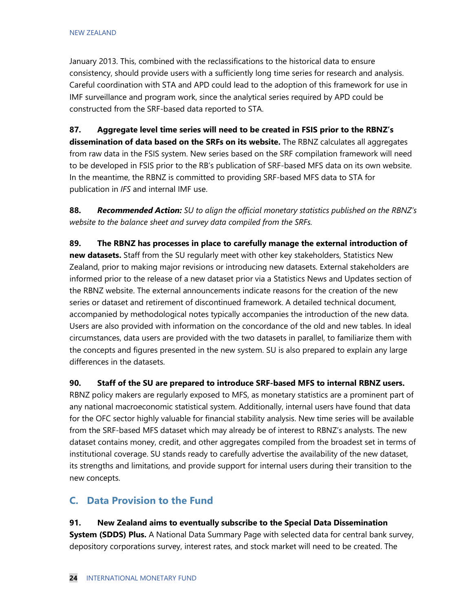January 2013. This, combined with the reclassifications to the historical data to ensure consistency, should provide users with a sufficiently long time series for research and analysis. Careful coordination with STA and APD could lead to the adoption of this framework for use in IMF surveillance and program work, since the analytical series required by APD could be constructed from the SRF-based data reported to STA.

**87. Aggregate level time series will need to be created in FSIS prior to the RBNZ's dissemination of data based on the SRFs on its website.** The RBNZ calculates all aggregates from raw data in the FSIS system. New series based on the SRF compilation framework will need to be developed in FSIS prior to the RB's publication of SRF-based MFS data on its own website. In the meantime, the RBNZ is committed to providing SRF-based MFS data to STA for publication in *IFS* and internal IMF use.

**88.** *Recommended Action: SU to align the official monetary statistics published on the RBNZ's website to the balance sheet and survey data compiled from the SRFs.*

**89. The RBNZ has processes in place to carefully manage the external introduction of new datasets.** Staff from the SU regularly meet with other key stakeholders, Statistics New Zealand, prior to making major revisions or introducing new datasets. External stakeholders are informed prior to the release of a new dataset prior via a Statistics News and Updates section of the RBNZ website. The external announcements indicate reasons for the creation of the new series or dataset and retirement of discontinued framework. A detailed technical document, accompanied by methodological notes typically accompanies the introduction of the new data. Users are also provided with information on the concordance of the old and new tables. In ideal circumstances, data users are provided with the two datasets in parallel, to familiarize them with the concepts and figures presented in the new system. SU is also prepared to explain any large differences in the datasets.

**90. Staff of the SU are prepared to introduce SRF-based MFS to internal RBNZ users.** 

RBNZ policy makers are regularly exposed to MFS, as monetary statistics are a prominent part of any national macroeconomic statistical system. Additionally, internal users have found that data for the OFC sector highly valuable for financial stability analysis. New time series will be available from the SRF-based MFS dataset which may already be of interest to RBNZ's analysts. The new dataset contains money, credit, and other aggregates compiled from the broadest set in terms of institutional coverage. SU stands ready to carefully advertise the availability of the new dataset, its strengths and limitations, and provide support for internal users during their transition to the new concepts.

#### **C. Data Provision to the Fund**

**91. New Zealand aims to eventually subscribe to the Special Data Dissemination System (SDDS) Plus.** A National Data Summary Page with selected data for central bank survey, depository corporations survey, interest rates, and stock market will need to be created. The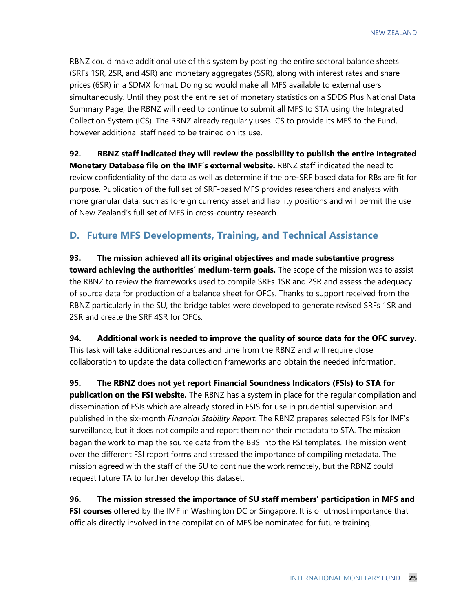RBNZ could make additional use of this system by posting the entire sectoral balance sheets (SRFs 1SR, 2SR, and 4SR) and monetary aggregates (5SR), along with interest rates and share prices (6SR) in a SDMX format. Doing so would make all MFS available to external users simultaneously. Until they post the entire set of monetary statistics on a SDDS Plus National Data Summary Page, the RBNZ will need to continue to submit all MFS to STA using the Integrated Collection System (ICS). The RBNZ already regularly uses ICS to provide its MFS to the Fund, however additional staff need to be trained on its use.

**92. RBNZ staff indicated they will review the possibility to publish the entire Integrated Monetary Database file on the IMF's external website.** RBNZ staff indicated the need to review confidentiality of the data as well as determine if the pre-SRF based data for RBs are fit for purpose. Publication of the full set of SRF-based MFS provides researchers and analysts with more granular data, such as foreign currency asset and liability positions and will permit the use of New Zealand's full set of MFS in cross-country research.

#### **D. Future MFS Developments, Training, and Technical Assistance**

**93. The mission achieved all its original objectives and made substantive progress toward achieving the authorities' medium-term goals.** The scope of the mission was to assist the RBNZ to review the frameworks used to compile SRFs 1SR and 2SR and assess the adequacy of source data for production of a balance sheet for OFCs. Thanks to support received from the RBNZ particularly in the SU, the bridge tables were developed to generate revised SRFs 1SR and 2SR and create the SRF 4SR for OFCs.

**94. Additional work is needed to improve the quality of source data for the OFC survey.**  This task will take additional resources and time from the RBNZ and will require close collaboration to update the data collection frameworks and obtain the needed information.

**95. The RBNZ does not yet report Financial Soundness Indicators (FSIs) to STA for publication on the FSI website.** The RBNZ has a system in place for the regular compilation and dissemination of FSIs which are already stored in FSIS for use in prudential supervision and published in the six-month *Financial Stability Report*. The RBNZ prepares selected FSIs for IMF's surveillance, but it does not compile and report them nor their metadata to STA. The mission began the work to map the source data from the BBS into the FSI templates. The mission went over the different FSI report forms and stressed the importance of compiling metadata. The mission agreed with the staff of the SU to continue the work remotely, but the RBNZ could request future TA to further develop this dataset.

**96. The mission stressed the importance of SU staff members' participation in MFS and FSI courses** offered by the IMF in Washington DC or Singapore. It is of utmost importance that officials directly involved in the compilation of MFS be nominated for future training.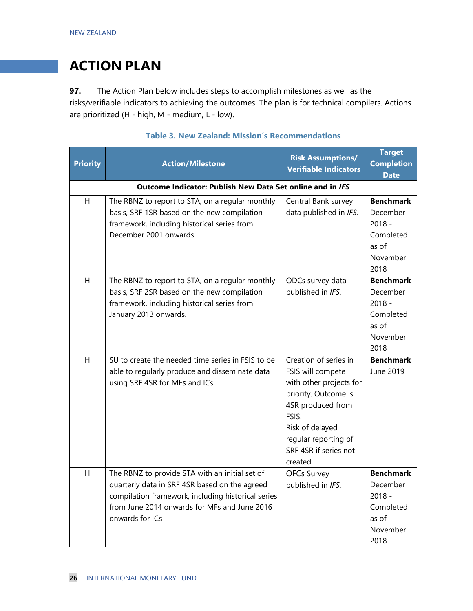### **ACTION PLAN**

**97.** The Action Plan below includes steps to accomplish milestones as well as the risks/verifiable indicators to achieving the outcomes. The plan is for technical compilers. Actions are prioritized (H - high, M - medium, L - low).

| <b>Priority</b>                                           | <b>Action/Milestone</b>                                                                                                                                                                                                  | <b>Risk Assumptions/</b><br><b>Verifiable Indicators</b>                                                                                                                                                    | <b>Target</b><br><b>Completion</b><br><b>Date</b>                                  |  |
|-----------------------------------------------------------|--------------------------------------------------------------------------------------------------------------------------------------------------------------------------------------------------------------------------|-------------------------------------------------------------------------------------------------------------------------------------------------------------------------------------------------------------|------------------------------------------------------------------------------------|--|
| Outcome Indicator: Publish New Data Set online and in IFS |                                                                                                                                                                                                                          |                                                                                                                                                                                                             |                                                                                    |  |
| H                                                         | The RBNZ to report to STA, on a regular monthly<br>basis, SRF 1SR based on the new compilation<br>framework, including historical series from<br>December 2001 onwards.                                                  | Central Bank survey<br>data published in IFS.                                                                                                                                                               | <b>Benchmark</b><br>December<br>$2018 -$<br>Completed<br>as of<br>November<br>2018 |  |
| H                                                         | The RBNZ to report to STA, on a regular monthly<br>basis, SRF 2SR based on the new compilation<br>framework, including historical series from<br>January 2013 onwards.                                                   | ODCs survey data<br>published in IFS.                                                                                                                                                                       | <b>Benchmark</b><br>December<br>$2018 -$<br>Completed<br>as of<br>November<br>2018 |  |
| H                                                         | SU to create the needed time series in FSIS to be<br>able to regularly produce and disseminate data<br>using SRF 4SR for MFs and ICs.                                                                                    | Creation of series in<br>FSIS will compete<br>with other projects for<br>priority. Outcome is<br>4SR produced from<br>FSIS.<br>Risk of delayed<br>regular reporting of<br>SRF 4SR if series not<br>created. | <b>Benchmark</b><br>June 2019                                                      |  |
| H                                                         | The RBNZ to provide STA with an initial set of<br>quarterly data in SRF 4SR based on the agreed<br>compilation framework, including historical series<br>from June 2014 onwards for MFs and June 2016<br>onwards for ICs | <b>OFCs Survey</b><br>published in IFS.                                                                                                                                                                     | <b>Benchmark</b><br>December<br>$2018 -$<br>Completed<br>as of<br>November<br>2018 |  |

#### **Table 3. New Zealand: Mission's Recommendations**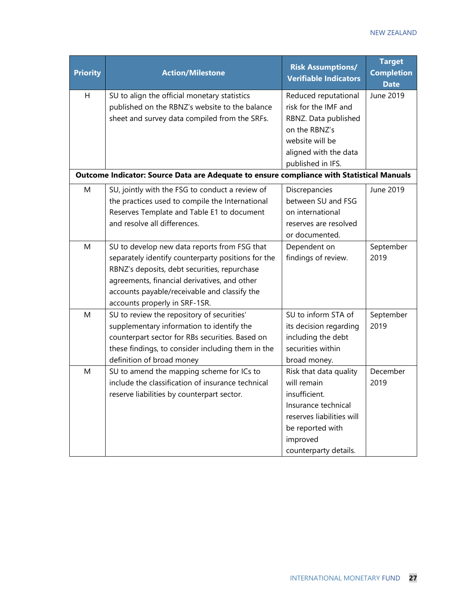| <b>Priority</b> | <b>Action/Milestone</b>                                                                   | <b>Risk Assumptions/</b><br><b>Verifiable Indicators</b> | <b>Target</b><br><b>Completion</b><br><b>Date</b> |
|-----------------|-------------------------------------------------------------------------------------------|----------------------------------------------------------|---------------------------------------------------|
| Н               | SU to align the official monetary statistics                                              | Reduced reputational                                     | June 2019                                         |
|                 | published on the RBNZ's website to the balance                                            | risk for the IMF and                                     |                                                   |
|                 | sheet and survey data compiled from the SRFs.                                             | RBNZ. Data published                                     |                                                   |
|                 |                                                                                           | on the RBNZ's                                            |                                                   |
|                 |                                                                                           | website will be                                          |                                                   |
|                 |                                                                                           | aligned with the data                                    |                                                   |
|                 |                                                                                           | published in IFS.                                        |                                                   |
|                 | Outcome Indicator: Source Data are Adequate to ensure compliance with Statistical Manuals |                                                          |                                                   |
| M               | SU, jointly with the FSG to conduct a review of                                           | Discrepancies                                            | June 2019                                         |
|                 | the practices used to compile the International                                           | between SU and FSG                                       |                                                   |
|                 | Reserves Template and Table E1 to document                                                | on international                                         |                                                   |
|                 | and resolve all differences.                                                              | reserves are resolved                                    |                                                   |
|                 |                                                                                           | or documented.                                           |                                                   |
| Μ               | SU to develop new data reports from FSG that                                              | Dependent on                                             | September                                         |
|                 | separately identify counterparty positions for the                                        | findings of review.                                      | 2019                                              |
|                 | RBNZ's deposits, debt securities, repurchase                                              |                                                          |                                                   |
|                 | agreements, financial derivatives, and other                                              |                                                          |                                                   |
|                 | accounts payable/receivable and classify the                                              |                                                          |                                                   |
|                 | accounts properly in SRF-1SR.                                                             |                                                          |                                                   |
| M               | SU to review the repository of securities'                                                | SU to inform STA of                                      | September                                         |
|                 | supplementary information to identify the                                                 | its decision regarding                                   | 2019                                              |
|                 | counterpart sector for RBs securities. Based on                                           | including the debt                                       |                                                   |
|                 | these findings, to consider including them in the                                         | securities within                                        |                                                   |
|                 | definition of broad money                                                                 | broad money.                                             |                                                   |
| M               | SU to amend the mapping scheme for ICs to                                                 | Risk that data quality                                   | December                                          |
|                 | include the classification of insurance technical                                         | will remain                                              | 2019                                              |
|                 | reserve liabilities by counterpart sector.                                                | insufficient.                                            |                                                   |
|                 |                                                                                           | Insurance technical                                      |                                                   |
|                 |                                                                                           | reserves liabilities will                                |                                                   |
|                 |                                                                                           | be reported with                                         |                                                   |
|                 |                                                                                           | improved                                                 |                                                   |
|                 |                                                                                           | counterparty details.                                    |                                                   |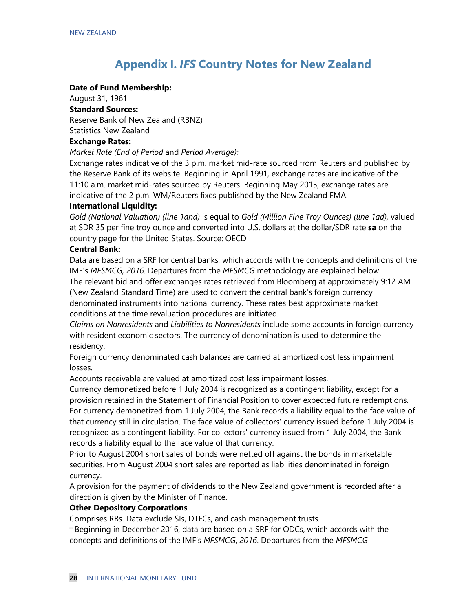### **Appendix I.** *IFS* **Country Notes for New Zealand**

#### **Date of Fund Membership:**

August 31, 1961

**Standard Sources:**

Reserve Bank of New Zealand (RBNZ)

Statistics New Zealand

#### **Exchange Rates:**

*Market Rate (End of Period* and *Period Average):*

Exchange rates indicative of the 3 p.m. market mid-rate sourced from Reuters and published by the Reserve Bank of its website. Beginning in April 1991, exchange rates are indicative of the 11:10 a.m. market mid-rates sourced by Reuters. Beginning May 2015, exchange rates are indicative of the 2 p.m. WM/Reuters fixes published by the New Zealand FMA.

#### **International Liquidity:**

*Gold (National Valuation) (line 1and)* is equal to *Gold (Million Fine Troy Ounces) (line 1ad),* valued at SDR 35 per fine troy ounce and converted into U.S. dollars at the dollar/SDR rate **sa** on the country page for the United States. Source: OECD

#### **Central Bank:**

Data are based on a SRF for central banks, which accords with the concepts and definitions of the IMF's *MFSMCG, 2016*. Departures from the *MFSMCG* methodology are explained below.

The relevant bid and offer exchanges rates retrieved from Bloomberg at approximately 9:12 AM (New Zealand Standard Time) are used to convert the central bank's foreign currency denominated instruments into national currency. These rates best approximate market conditions at the time revaluation procedures are initiated.

*Claims on Nonresidents* and *Liabilities to Nonresidents* include some accounts in foreign currency with resident economic sectors. The currency of denomination is used to determine the residency.

Foreign currency denominated cash balances are carried at amortized cost less impairment losses.

Accounts receivable are valued at amortized cost less impairment losses.

Currency demonetized before 1 July 2004 is recognized as a contingent liability, except for a provision retained in the Statement of Financial Position to cover expected future redemptions. For currency demonetized from 1 July 2004, the Bank records a liability equal to the face value of that currency still in circulation. The face value of collectors' currency issued before 1 July 2004 is recognized as a contingent liability. For collectors' currency issued from 1 July 2004, the Bank records a liability equal to the face value of that currency.

Prior to August 2004 short sales of bonds were netted off against the bonds in marketable securities. From August 2004 short sales are reported as liabilities denominated in foreign currency.

A provision for the payment of dividends to the New Zealand government is recorded after a direction is given by the Minister of Finance.

#### **Other Depository Corporations**

Comprises RBs. Data exclude SIs, DTFCs, and cash management trusts.

† Beginning in December 2016, data are based on a SRF for ODCs, which accords with the concepts and definitions of the IMF's *MFSMCG*, *2016*. Departures from the *MFSMCG*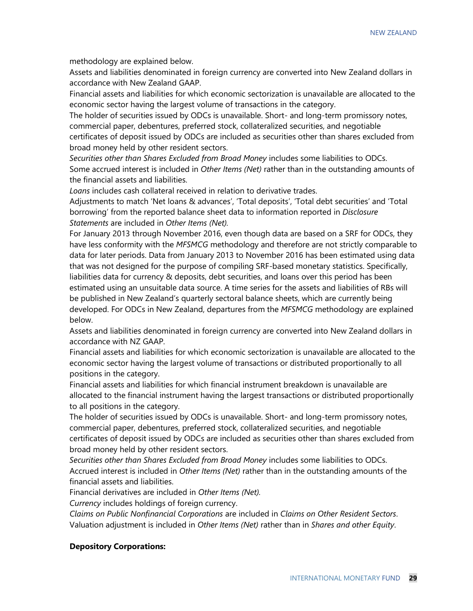methodology are explained below.

Assets and liabilities denominated in foreign currency are converted into New Zealand dollars in accordance with New Zealand GAAP.

Financial assets and liabilities for which economic sectorization is unavailable are allocated to the economic sector having the largest volume of transactions in the category.

The holder of securities issued by ODCs is unavailable. Short- and long-term promissory notes, commercial paper, debentures, preferred stock, collateralized securities, and negotiable certificates of deposit issued by ODCs are included as securities other than shares excluded from broad money held by other resident sectors.

*Securities other than Shares Excluded from Broad Money* includes some liabilities to ODCs. Some accrued interest is included in *Other Items (Net)* rather than in the outstanding amounts of the financial assets and liabilities.

*Loans* includes cash collateral received in relation to derivative trades.

Adjustments to match 'Net loans & advances', 'Total deposits', 'Total debt securities' and 'Total borrowing' from the reported balance sheet data to information reported in *Disclosure Statements* are included in *Other Items (Net).*

For January 2013 through November 2016, even though data are based on a SRF for ODCs, they have less conformity with the *MFSMCG* methodology and therefore are not strictly comparable to data for later periods. Data from January 2013 to November 2016 has been estimated using data that was not designed for the purpose of compiling SRF-based monetary statistics. Specifically, liabilities data for currency & deposits, debt securities, and loans over this period has been estimated using an unsuitable data source. A time series for the assets and liabilities of RBs will be published in New Zealand's quarterly sectoral balance sheets, which are currently being developed. For ODCs in New Zealand, departures from the *MFSMCG* methodology are explained below.

Assets and liabilities denominated in foreign currency are converted into New Zealand dollars in accordance with NZ GAAP.

Financial assets and liabilities for which economic sectorization is unavailable are allocated to the economic sector having the largest volume of transactions or distributed proportionally to all positions in the category.

Financial assets and liabilities for which financial instrument breakdown is unavailable are allocated to the financial instrument having the largest transactions or distributed proportionally to all positions in the category.

The holder of securities issued by ODCs is unavailable. Short- and long-term promissory notes, commercial paper, debentures, preferred stock, collateralized securities, and negotiable certificates of deposit issued by ODCs are included as securities other than shares excluded from broad money held by other resident sectors.

*Securities other than Shares Excluded from Broad Money* includes some liabilities to ODCs. Accrued interest is included in *Other Items (Net)* rather than in the outstanding amounts of the financial assets and liabilities.

Financial derivatives are included in *Other Items (Net).*

*Currency* includes holdings of foreign currency.

*Claims on Public Nonfinancial Corporations* are included in *Claims on Other Resident Sectors*. Valuation adjustment is included in *Other Items (Net)* rather than in *Shares and other Equity*.

#### **Depository Corporations:**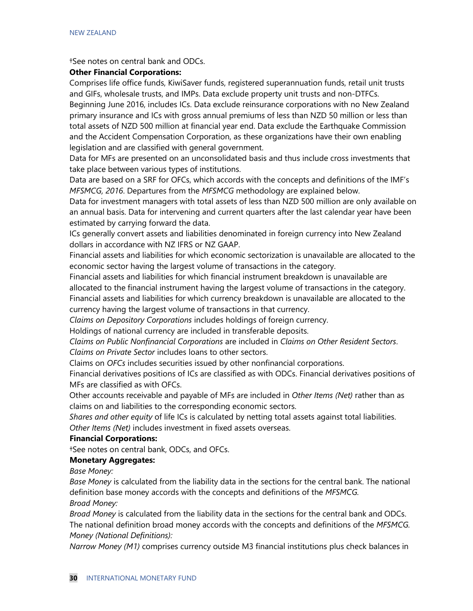†See notes on central bank and ODCs.

#### **Other Financial Corporations:**

Comprises life office funds, KiwiSaver funds, registered superannuation funds, retail unit trusts and GIFs, wholesale trusts, and IMPs. Data exclude property unit trusts and non-DTFCs. Beginning June 2016, includes ICs. Data exclude reinsurance corporations with no New Zealand primary insurance and ICs with gross annual premiums of less than NZD 50 million or less than total assets of NZD 500 million at financial year end. Data exclude the Earthquake Commission and the Accident Compensation Corporation, as these organizations have their own enabling legislation and are classified with general government.

Data for MFs are presented on an unconsolidated basis and thus include cross investments that take place between various types of institutions.

Data are based on a SRF for OFCs, which accords with the concepts and definitions of the IMF's *MFSMCG, 2016*. Departures from the *MFSMCG* methodology are explained below.

Data for investment managers with total assets of less than NZD 500 million are only available on an annual basis. Data for intervening and current quarters after the last calendar year have been estimated by carrying forward the data.

ICs generally convert assets and liabilities denominated in foreign currency into New Zealand dollars in accordance with NZ IFRS or NZ GAAP.

Financial assets and liabilities for which economic sectorization is unavailable are allocated to the economic sector having the largest volume of transactions in the category.

Financial assets and liabilities for which financial instrument breakdown is unavailable are allocated to the financial instrument having the largest volume of transactions in the category. Financial assets and liabilities for which currency breakdown is unavailable are allocated to the currency having the largest volume of transactions in that currency.

*Claims on Depository Corporations* includes holdings of foreign currency.

Holdings of national currency are included in transferable deposits.

*Claims on Public Nonfinancial Corporations* are included in *Claims on Other Resident Sectors*. *Claims on Private Sector* includes loans to other sectors.

Claims on *OFCs* includes securities issued by other nonfinancial corporations.

Financial derivatives positions of ICs are classified as with ODCs. Financial derivatives positions of MFs are classified as with OFCs.

Other accounts receivable and payable of MFs are included in *Other Items (Net)* rather than as claims on and liabilities to the corresponding economic sectors.

*Shares and other equity* of life ICs is calculated by netting total assets against total liabilities. *Other Items (Net)* includes investment in fixed assets overseas.

#### **Financial Corporations:**

†See notes on central bank, ODCs, and OFCs.

#### **Monetary Aggregates:**

*Base Money:*

*Base Money* is calculated from the liability data in the sections for the central bank. The national definition base money accords with the concepts and definitions of the *MFSMCG.*

*Broad Money:*

*Broad Money* is calculated from the liability data in the sections for the central bank and ODCs. The national definition broad money accords with the concepts and definitions of the *MFSMCG. Money (National Definitions):*

*Narrow Money (M1)* comprises currency outside M3 financial institutions plus check balances in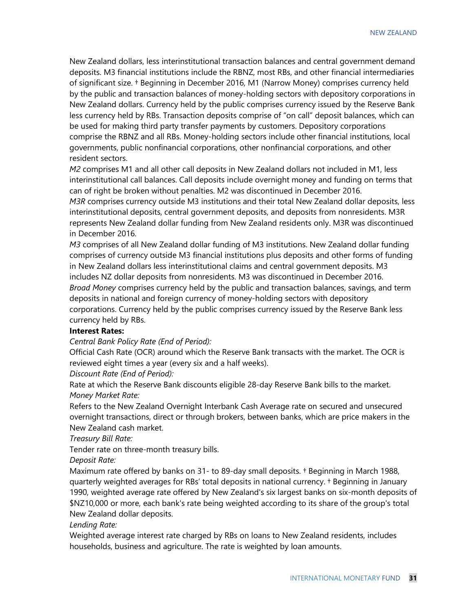New Zealand dollars, less interinstitutional transaction balances and central government demand deposits. M3 financial institutions include the RBNZ, most RBs, and other financial intermediaries of significant size. † Beginning in December 2016, M1 (Narrow Money) comprises currency held by the public and transaction balances of money-holding sectors with depository corporations in New Zealand dollars. Currency held by the public comprises currency issued by the Reserve Bank less currency held by RBs. Transaction deposits comprise of "on call" deposit balances, which can be used for making third party transfer payments by customers. Depository corporations comprise the RBNZ and all RBs. Money-holding sectors include other financial institutions, local governments, public nonfinancial corporations, other nonfinancial corporations, and other resident sectors.

*M2* comprises M1 and all other call deposits in New Zealand dollars not included in M1, less interinstitutional call balances. Call deposits include overnight money and funding on terms that can of right be broken without penalties. M2 was discontinued in December 2016. *M3R* comprises currency outside M3 institutions and their total New Zealand dollar deposits, less interinstitutional deposits, central government deposits, and deposits from nonresidents. M3R represents New Zealand dollar funding from New Zealand residents only. M3R was discontinued in December 2016.

*M3* comprises of all New Zealand dollar funding of M3 institutions. New Zealand dollar funding comprises of currency outside M3 financial institutions plus deposits and other forms of funding in New Zealand dollars less interinstitutional claims and central government deposits. M3 includes NZ dollar deposits from nonresidents. M3 was discontinued in December 2016. *Broad Money* comprises currency held by the public and transaction balances, savings, and term deposits in national and foreign currency of money-holding sectors with depository corporations. Currency held by the public comprises currency issued by the Reserve Bank less currency held by RBs.

#### **Interest Rates:**

*Central Bank Policy Rate (End of Period):*

Official Cash Rate (OCR) around which the Reserve Bank transacts with the market. The OCR is reviewed eight times a year (every six and a half weeks).

*Discount Rate (End of Period):*

Rate at which the Reserve Bank discounts eligible 28-day Reserve Bank bills to the market. *Money Market Rate:*

Refers to the New Zealand Overnight Interbank Cash Average rate on secured and unsecured overnight transactions, direct or through brokers, between banks, which are price makers in the New Zealand cash market.

*Treasury Bill Rate:*

Tender rate on three-month treasury bills.

*Deposit Rate:*

Maximum rate offered by banks on 31- to 89-day small deposits. † Beginning in March 1988, quarterly weighted averages for RBs' total deposits in national currency. † Beginning in January 1990, weighted average rate offered by New Zealand's six largest banks on six-month deposits of \$NZ10,000 or more, each bank's rate being weighted according to its share of the group's total New Zealand dollar deposits.

#### *Lending Rate:*

Weighted average interest rate charged by RBs on loans to New Zealand residents, includes households, business and agriculture. The rate is weighted by loan amounts.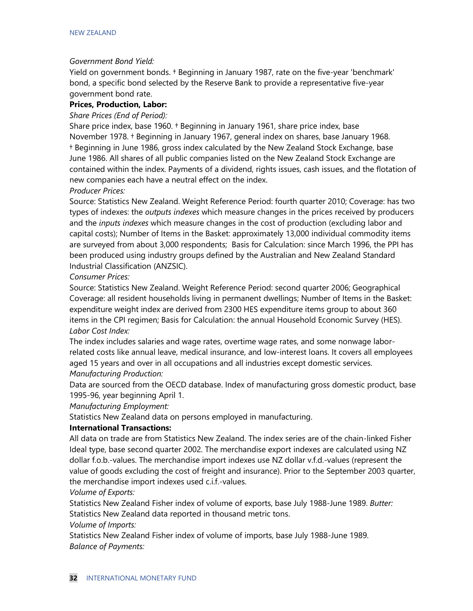#### *Government Bond Yield:*

Yield on government bonds. † Beginning in January 1987, rate on the five-year 'benchmark' bond, a specific bond selected by the Reserve Bank to provide a representative five-year government bond rate.

#### **Prices, Production, Labor:**

#### *Share Prices (End of Period):*

Share price index, base 1960. † Beginning in January 1961, share price index, base November 1978. † Beginning in January 1967, general index on shares, base January 1968. † Beginning in June 1986, gross index calculated by the New Zealand Stock Exchange, base June 1986. All shares of all public companies listed on the New Zealand Stock Exchange are contained within the index. Payments of a dividend, rights issues, cash issues, and the flotation of new companies each have a neutral effect on the index.

#### *Producer Prices:*

Source: Statistics New Zealand. Weight Reference Period: fourth quarter 2010; Coverage: has two types of indexes: the *outputs indexes* which measure changes in the prices received by producers and the *inputs indexes* which measure changes in the cost of production (excluding labor and capital costs); Number of Items in the Basket: approximately 13,000 individual commodity items are surveyed from about 3,000 respondents; Basis for Calculation: since March 1996, the PPI has been produced using industry groups defined by the Australian and New Zealand Standard Industrial Classification (ANZSIC).

#### *Consumer Prices:*

Source: Statistics New Zealand. Weight Reference Period: second quarter 2006; Geographical Coverage: all resident households living in permanent dwellings; Number of Items in the Basket: expenditure weight index are derived from 2300 HES expenditure items group to about 360 items in the CPI regimen; Basis for Calculation: the annual Household Economic Survey (HES). *Labor Cost Index:*

The index includes salaries and wage rates, overtime wage rates, and some nonwage laborrelated costs like annual leave, medical insurance, and low-interest loans. It covers all employees aged 15 years and over in all occupations and all industries except domestic services. *Manufacturing Production:*

Data are sourced from the OECD database. Index of manufacturing gross domestic product, base 1995-96, year beginning April 1.

*Manufacturing Employment:*

Statistics New Zealand data on persons employed in manufacturing.

#### **International Transactions:**

All data on trade are from Statistics New Zealand. The index series are of the chain-linked Fisher Ideal type, base second quarter 2002. The merchandise export indexes are calculated using NZ dollar f.o.b.-values. The merchandise import indexes use NZ dollar v.f.d.-values (represent the value of goods excluding the cost of freight and insurance). Prior to the September 2003 quarter, the merchandise import indexes used c.i.f.-values.

*Volume of Exports:*

Statistics New Zealand Fisher index of volume of exports, base July 1988-June 1989. *Butter:*  Statistics New Zealand data reported in thousand metric tons.

*Volume of Imports:*

Statistics New Zealand Fisher index of volume of imports, base July 1988-June 1989. *Balance of Payments:*